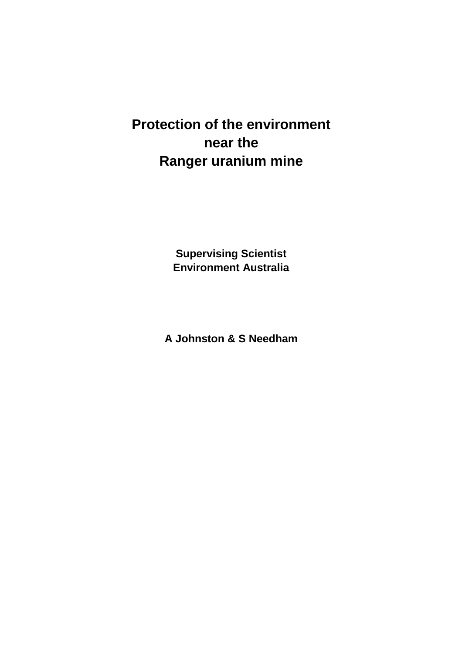# **Protection of the environment near the Ranger uranium mine**

**Supervising Scientist Environment Australia**

**A Johnston & S Needham**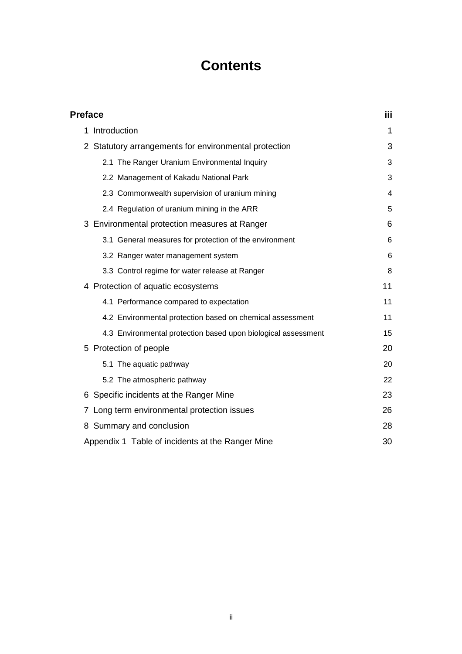# **Contents**

| <b>Preface</b>                                                               | iii |
|------------------------------------------------------------------------------|-----|
| Introduction<br>1                                                            | 1   |
| Statutory arrangements for environmental protection<br>$\mathbf{2}^{\prime}$ | 3   |
| 2.1 The Ranger Uranium Environmental Inquiry                                 | 3   |
| 2.2 Management of Kakadu National Park                                       | 3   |
| 2.3 Commonwealth supervision of uranium mining                               | 4   |
| 2.4 Regulation of uranium mining in the ARR                                  | 5   |
| 3 Environmental protection measures at Ranger                                | 6   |
| 3.1 General measures for protection of the environment                       | 6   |
| 3.2 Ranger water management system                                           | 6   |
| 3.3 Control regime for water release at Ranger                               | 8   |
| 4 Protection of aquatic ecosystems                                           | 11  |
| 4.1 Performance compared to expectation                                      | 11  |
| 4.2 Environmental protection based on chemical assessment                    | 11  |
| 4.3 Environmental protection based upon biological assessment                | 15  |
| 5 Protection of people                                                       | 20  |
| 5.1 The aquatic pathway                                                      | 20  |
| 5.2 The atmospheric pathway                                                  | 22  |
| Specific incidents at the Ranger Mine<br>6                                   | 23  |
| Long term environmental protection issues<br>7                               | 26  |
| Summary and conclusion<br>8                                                  | 28  |
| Appendix 1 Table of incidents at the Ranger Mine                             | 30  |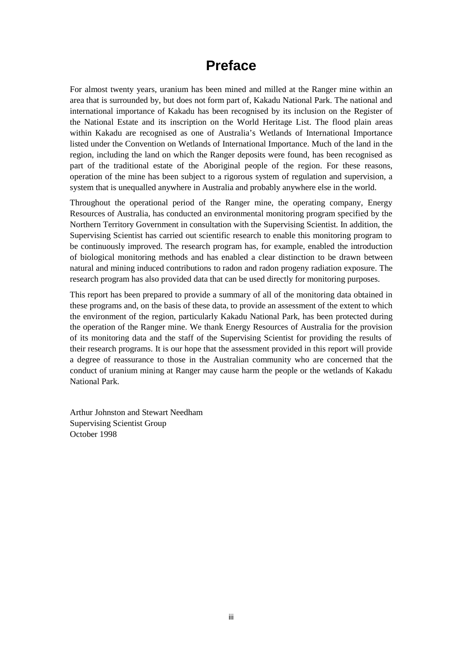# **Preface**

For almost twenty years, uranium has been mined and milled at the Ranger mine within an area that is surrounded by, but does not form part of, Kakadu National Park. The national and international importance of Kakadu has been recognised by its inclusion on the Register of the National Estate and its inscription on the World Heritage List. The flood plain areas within Kakadu are recognised as one of Australia's Wetlands of International Importance listed under the Convention on Wetlands of International Importance. Much of the land in the region, including the land on which the Ranger deposits were found, has been recognised as part of the traditional estate of the Aboriginal people of the region. For these reasons, operation of the mine has been subject to a rigorous system of regulation and supervision, a system that is unequalled anywhere in Australia and probably anywhere else in the world.

Throughout the operational period of the Ranger mine, the operating company, Energy Resources of Australia, has conducted an environmental monitoring program specified by the Northern Territory Government in consultation with the Supervising Scientist. In addition, the Supervising Scientist has carried out scientific research to enable this monitoring program to be continuously improved. The research program has, for example, enabled the introduction of biological monitoring methods and has enabled a clear distinction to be drawn between natural and mining induced contributions to radon and radon progeny radiation exposure. The research program has also provided data that can be used directly for monitoring purposes.

This report has been prepared to provide a summary of all of the monitoring data obtained in these programs and, on the basis of these data, to provide an assessment of the extent to which the environment of the region, particularly Kakadu National Park, has been protected during the operation of the Ranger mine. We thank Energy Resources of Australia for the provision of its monitoring data and the staff of the Supervising Scientist for providing the results of their research programs. It is our hope that the assessment provided in this report will provide a degree of reassurance to those in the Australian community who are concerned that the conduct of uranium mining at Ranger may cause harm the people or the wetlands of Kakadu National Park.

Arthur Johnston and Stewart Needham Supervising Scientist Group October 1998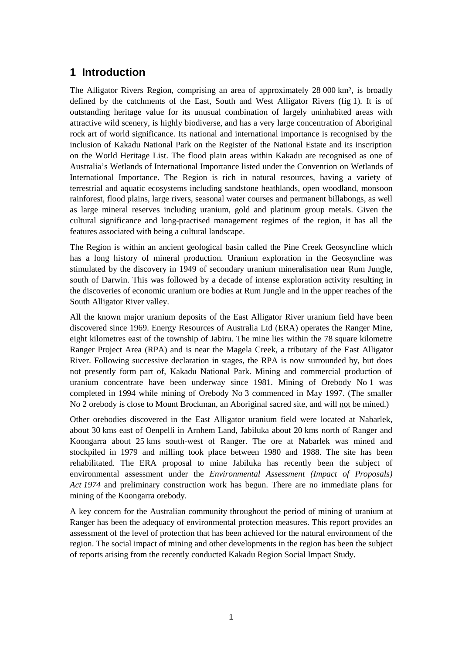### **1 Introduction**

The Alligator Rivers Region, comprising an area of approximately 28 000 km2, is broadly defined by the catchments of the East, South and West Alligator Rivers (fig 1). It is of outstanding heritage value for its unusual combination of largely uninhabited areas with attractive wild scenery, is highly biodiverse, and has a very large concentration of Aboriginal rock art of world significance. Its national and international importance is recognised by the inclusion of Kakadu National Park on the Register of the National Estate and its inscription on the World Heritage List. The flood plain areas within Kakadu are recognised as one of Australia's Wetlands of International Importance listed under the Convention on Wetlands of International Importance. The Region is rich in natural resources, having a variety of terrestrial and aquatic ecosystems including sandstone heathlands, open woodland, monsoon rainforest, flood plains, large rivers, seasonal water courses and permanent billabongs, as well as large mineral reserves including uranium, gold and platinum group metals. Given the cultural significance and long-practised management regimes of the region, it has all the features associated with being a cultural landscape.

The Region is within an ancient geological basin called the Pine Creek Geosyncline which has a long history of mineral production. Uranium exploration in the Geosyncline was stimulated by the discovery in 1949 of secondary uranium mineralisation near Rum Jungle, south of Darwin. This was followed by a decade of intense exploration activity resulting in the discoveries of economic uranium ore bodies at Rum Jungle and in the upper reaches of the South Alligator River valley.

All the known major uranium deposits of the East Alligator River uranium field have been discovered since 1969. Energy Resources of Australia Ltd (ERA) operates the Ranger Mine, eight kilometres east of the township of Jabiru. The mine lies within the 78 square kilometre Ranger Project Area (RPA) and is near the Magela Creek, a tributary of the East Alligator River. Following successive declaration in stages, the RPA is now surrounded by, but does not presently form part of, Kakadu National Park. Mining and commercial production of uranium concentrate have been underway since 1981. Mining of Orebody No 1 was completed in 1994 while mining of Orebody No 3 commenced in May 1997. (The smaller No 2 orebody is close to Mount Brockman, an Aboriginal sacred site, and will not be mined.)

Other orebodies discovered in the East Alligator uranium field were located at Nabarlek, about 30 kms east of Oenpelli in Arnhem Land, Jabiluka about 20 kms north of Ranger and Koongarra about 25 kms south-west of Ranger. The ore at Nabarlek was mined and stockpiled in 1979 and milling took place between 1980 and 1988. The site has been rehabilitated. The ERA proposal to mine Jabiluka has recently been the subject of environmental assessment under the *Environmental Assessment (Impact of Proposals) Act 1974* and preliminary construction work has begun. There are no immediate plans for mining of the Koongarra orebody.

A key concern for the Australian community throughout the period of mining of uranium at Ranger has been the adequacy of environmental protection measures. This report provides an assessment of the level of protection that has been achieved for the natural environment of the region. The social impact of mining and other developments in the region has been the subject of reports arising from the recently conducted Kakadu Region Social Impact Study.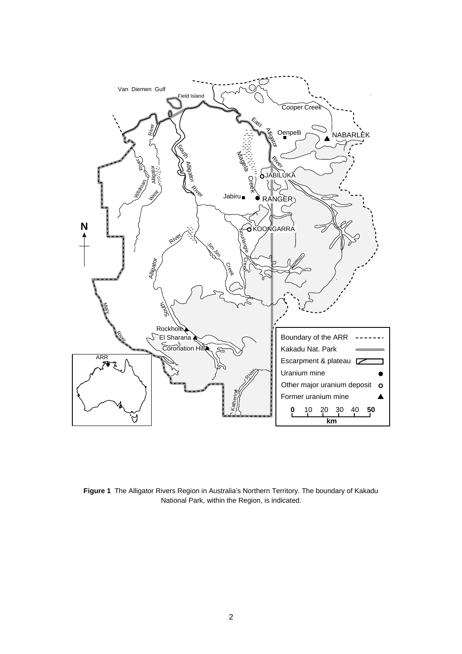

**Figure 1** The Alligator Rivers Region in Australia's Northern Territory. The boundary of Kakadu National Park, within the Region, is indicated.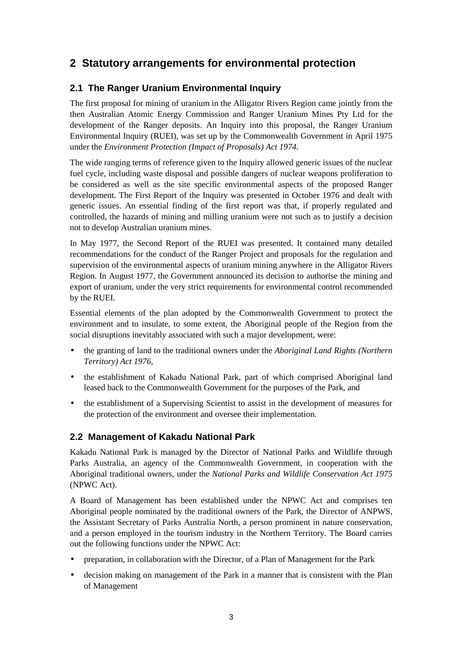# **2 Statutory arrangements for environmental protection**

### **2.1 The Ranger Uranium Environmental Inquiry**

The first proposal for mining of uranium in the Alligator Rivers Region came jointly from the then Australian Atomic Energy Commission and Ranger Uranium Mines Pty Ltd for the development of the Ranger deposits. An Inquiry into this proposal, the Ranger Uranium Environmental Inquiry (RUEI), was set up by the Commonwealth Government in April 1975 under the *Environment Protection (Impact of Proposals) Act 1974.*

The wide ranging terms of reference given to the Inquiry allowed generic issues of the nuclear fuel cycle, including waste disposal and possible dangers of nuclear weapons proliferation to be considered as well as the site specific environmental aspects of the proposed Ranger development. The First Report of the Inquiry was presented in October 1976 and dealt with generic issues. An essential finding of the first report was that, if properly regulated and controlled, the hazards of mining and milling uranium were not such as to justify a decision not to develop Australian uranium mines.

In May 1977, the Second Report of the RUEI was presented. It contained many detailed recommendations for the conduct of the Ranger Project and proposals for the regulation and supervision of the environmental aspects of uranium mining anywhere in the Alligator Rivers Region. In August 1977, the Government announced its decision to authorise the mining and export of uranium, under the very strict requirements for environmental control recommended by the RUEI.

Essential elements of the plan adopted by the Commonwealth Government to protect the environment and to insulate, to some extent, the Aboriginal people of the Region from the social disruptions inevitably associated with such a major development, were:

- the granting of land to the traditional owners under the *Aboriginal Land Rights (Northern Territory) Act 1976*,
- the establishment of Kakadu National Park, part of which comprised Aboriginal land leased back to the Commonwealth Government for the purposes of the Park, and
- the establishment of a Supervising Scientist to assist in the development of measures for the protection of the environment and oversee their implementation.

### **2.2 Management of Kakadu National Park**

Kakadu National Park is managed by the Director of National Parks and Wildlife through Parks Australia, an agency of the Commonwealth Government, in cooperation with the Aboriginal traditional owners, under the *National Parks and Wildlife Conservation Act 1975* (NPWC Act).

A Board of Management has been established under the NPWC Act and comprises ten Aboriginal people nominated by the traditional owners of the Park, the Director of ANPWS, the Assistant Secretary of Parks Australia North, a person prominent in nature conservation, and a person employed in the tourism industry in the Northern Territory. The Board carries out the following functions under the NPWC Act:

- preparation, in collaboration with the Director, of a Plan of Management for the Park
- decision making on management of the Park in a manner that is consistent with the Plan of Management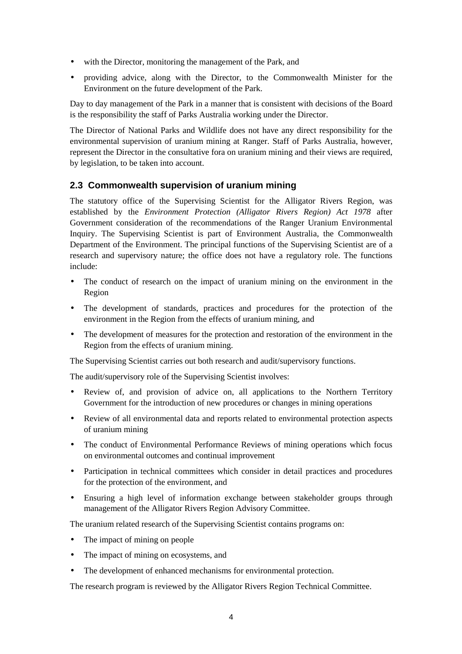- with the Director, monitoring the management of the Park, and
- providing advice, along with the Director, to the Commonwealth Minister for the Environment on the future development of the Park.

Day to day management of the Park in a manner that is consistent with decisions of the Board is the responsibility the staff of Parks Australia working under the Director.

The Director of National Parks and Wildlife does not have any direct responsibility for the environmental supervision of uranium mining at Ranger. Staff of Parks Australia, however, represent the Director in the consultative fora on uranium mining and their views are required, by legislation, to be taken into account.

### **2.3 Commonwealth supervision of uranium mining**

The statutory office of the Supervising Scientist for the Alligator Rivers Region, was established by the *Environment Protection (Alligator Rivers Region) Act 1978* after Government consideration of the recommendations of the Ranger Uranium Environmental Inquiry. The Supervising Scientist is part of Environment Australia, the Commonwealth Department of the Environment. The principal functions of the Supervising Scientist are of a research and supervisory nature; the office does not have a regulatory role. The functions include:

- The conduct of research on the impact of uranium mining on the environment in the Region
- The development of standards, practices and procedures for the protection of the environment in the Region from the effects of uranium mining, and
- The development of measures for the protection and restoration of the environment in the Region from the effects of uranium mining.

The Supervising Scientist carries out both research and audit/supervisory functions.

The audit/supervisory role of the Supervising Scientist involves:

- Review of, and provision of advice on, all applications to the Northern Territory Government for the introduction of new procedures or changes in mining operations
- Review of all environmental data and reports related to environmental protection aspects of uranium mining
- The conduct of Environmental Performance Reviews of mining operations which focus on environmental outcomes and continual improvement
- Participation in technical committees which consider in detail practices and procedures for the protection of the environment, and
- Ensuring a high level of information exchange between stakeholder groups through management of the Alligator Rivers Region Advisory Committee.

The uranium related research of the Supervising Scientist contains programs on:

- The impact of mining on people
- The impact of mining on ecosystems, and
- The development of enhanced mechanisms for environmental protection.

The research program is reviewed by the Alligator Rivers Region Technical Committee.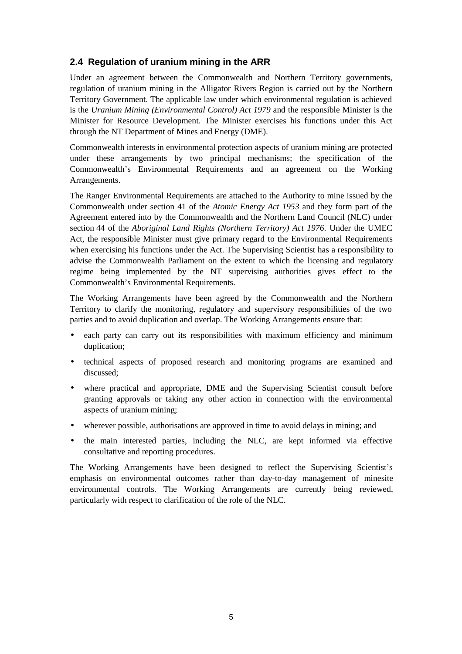### **2.4 Regulation of uranium mining in the ARR**

Under an agreement between the Commonwealth and Northern Territory governments, regulation of uranium mining in the Alligator Rivers Region is carried out by the Northern Territory Government. The applicable law under which environmental regulation is achieved is the *Uranium Mining (Environmental Control) Act 1979* and the responsible Minister is the Minister for Resource Development. The Minister exercises his functions under this Act through the NT Department of Mines and Energy (DME).

Commonwealth interests in environmental protection aspects of uranium mining are protected under these arrangements by two principal mechanisms; the specification of the Commonwealth's Environmental Requirements and an agreement on the Working Arrangements.

The Ranger Environmental Requirements are attached to the Authority to mine issued by the Commonwealth under section 41 of the *Atomic Energy Act 1953* and they form part of the Agreement entered into by the Commonwealth and the Northern Land Council (NLC) under section 44 of the *Aboriginal Land Rights (Northern Territory) Act 1976*. Under the UMEC Act, the responsible Minister must give primary regard to the Environmental Requirements when exercising his functions under the Act. The Supervising Scientist has a responsibility to advise the Commonwealth Parliament on the extent to which the licensing and regulatory regime being implemented by the NT supervising authorities gives effect to the Commonwealth's Environmental Requirements.

The Working Arrangements have been agreed by the Commonwealth and the Northern Territory to clarify the monitoring, regulatory and supervisory responsibilities of the two parties and to avoid duplication and overlap. The Working Arrangements ensure that:

- each party can carry out its responsibilities with maximum efficiency and minimum duplication;
- technical aspects of proposed research and monitoring programs are examined and discussed;
- where practical and appropriate, DME and the Supervising Scientist consult before granting approvals or taking any other action in connection with the environmental aspects of uranium mining;
- wherever possible, authorisations are approved in time to avoid delays in mining; and
- the main interested parties, including the NLC, are kept informed via effective consultative and reporting procedures.

The Working Arrangements have been designed to reflect the Supervising Scientist's emphasis on environmental outcomes rather than day-to-day management of minesite environmental controls. The Working Arrangements are currently being reviewed, particularly with respect to clarification of the role of the NLC.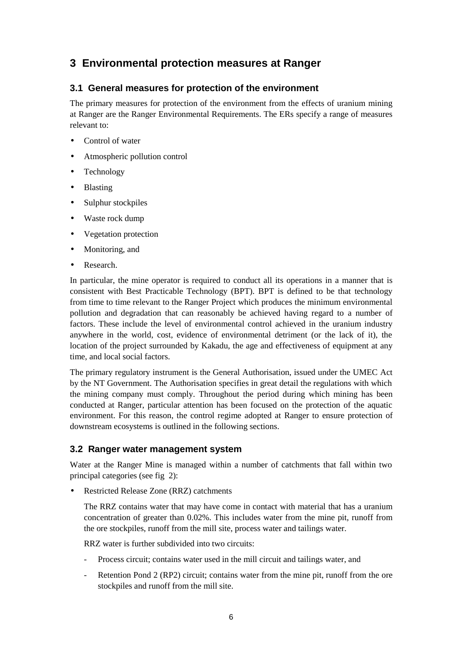## **3 Environmental protection measures at Ranger**

### **3.1 General measures for protection of the environment**

The primary measures for protection of the environment from the effects of uranium mining at Ranger are the Ranger Environmental Requirements. The ERs specify a range of measures relevant to:

- Control of water
- Atmospheric pollution control
- Technology
- Blasting
- Sulphur stockpiles
- Waste rock dump
- Vegetation protection
- Monitoring, and
- Research.

In particular, the mine operator is required to conduct all its operations in a manner that is consistent with Best Practicable Technology (BPT). BPT is defined to be that technology from time to time relevant to the Ranger Project which produces the minimum environmental pollution and degradation that can reasonably be achieved having regard to a number of factors. These include the level of environmental control achieved in the uranium industry anywhere in the world, cost, evidence of environmental detriment (or the lack of it), the location of the project surrounded by Kakadu, the age and effectiveness of equipment at any time, and local social factors.

The primary regulatory instrument is the General Authorisation, issued under the UMEC Act by the NT Government. The Authorisation specifies in great detail the regulations with which the mining company must comply. Throughout the period during which mining has been conducted at Ranger, particular attention has been focused on the protection of the aquatic environment. For this reason, the control regime adopted at Ranger to ensure protection of downstream ecosystems is outlined in the following sections.

### **3.2 Ranger water management system**

Water at the Ranger Mine is managed within a number of catchments that fall within two principal categories (see fig 2):

• Restricted Release Zone (RRZ) catchments

The RRZ contains water that may have come in contact with material that has a uranium concentration of greater than 0.02%. This includes water from the mine pit, runoff from the ore stockpiles, runoff from the mill site, process water and tailings water.

RRZ water is further subdivided into two circuits:

- Process circuit; contains water used in the mill circuit and tailings water, and
- Retention Pond 2 (RP2) circuit; contains water from the mine pit, runoff from the ore stockpiles and runoff from the mill site.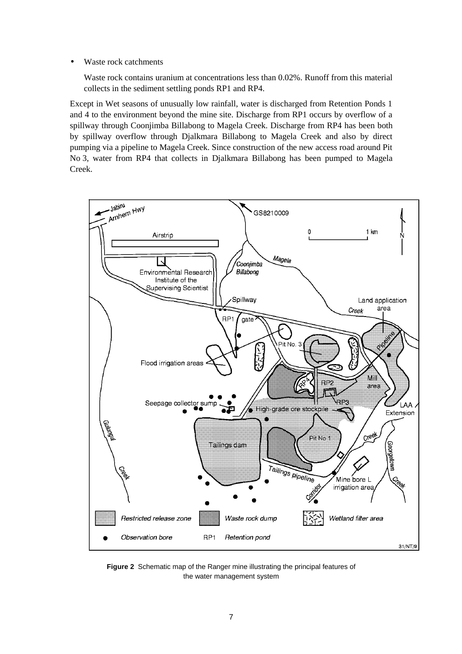• Waste rock catchments

Waste rock contains uranium at concentrations less than 0.02%. Runoff from this material collects in the sediment settling ponds RP1 and RP4.

Except in Wet seasons of unusually low rainfall, water is discharged from Retention Ponds 1 and 4 to the environment beyond the mine site. Discharge from RP1 occurs by overflow of a spillway through Coonjimba Billabong to Magela Creek. Discharge from RP4 has been both by spillway overflow through Djalkmara Billabong to Magela Creek and also by direct pumping via a pipeline to Magela Creek. Since construction of the new access road around Pit No 3, water from RP4 that collects in Djalkmara Billabong has been pumped to Magela Creek.



**Figure 2** Schematic map of the Ranger mine illustrating the principal features of the water management system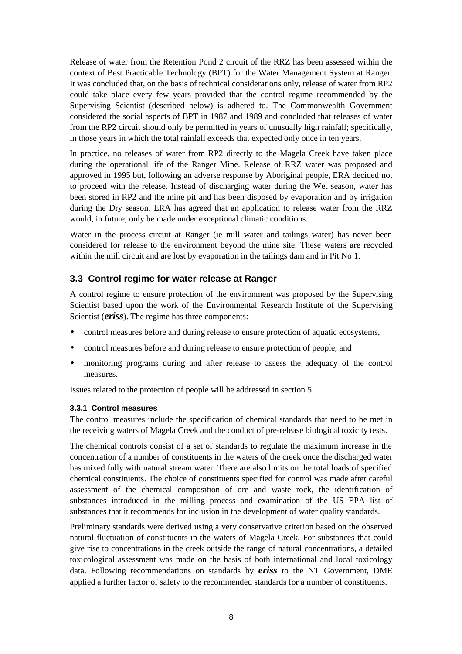Release of water from the Retention Pond 2 circuit of the RRZ has been assessed within the context of Best Practicable Technology (BPT) for the Water Management System at Ranger. It was concluded that, on the basis of technical considerations only, release of water from RP2 could take place every few years provided that the control regime recommended by the Supervising Scientist (described below) is adhered to. The Commonwealth Government considered the social aspects of BPT in 1987 and 1989 and concluded that releases of water from the RP2 circuit should only be permitted in years of unusually high rainfall; specifically, in those years in which the total rainfall exceeds that expected only once in ten years.

In practice, no releases of water from RP2 directly to the Magela Creek have taken place during the operational life of the Ranger Mine. Release of RRZ water was proposed and approved in 1995 but, following an adverse response by Aboriginal people, ERA decided not to proceed with the release. Instead of discharging water during the Wet season, water has been stored in RP2 and the mine pit and has been disposed by evaporation and by irrigation during the Dry season. ERA has agreed that an application to release water from the RRZ would, in future, only be made under exceptional climatic conditions.

Water in the process circuit at Ranger (ie mill water and tailings water) has never been considered for release to the environment beyond the mine site. These waters are recycled within the mill circuit and are lost by evaporation in the tailings dam and in Pit No 1.

#### **3.3 Control regime for water release at Ranger**

A control regime to ensure protection of the environment was proposed by the Supervising Scientist based upon the work of the Environmental Research Institute of the Supervising Scientist (**eriss**). The regime has three components:

- control measures before and during release to ensure protection of aquatic ecosystems,
- control measures before and during release to ensure protection of people, and
- monitoring programs during and after release to assess the adequacy of the control measures.

Issues related to the protection of people will be addressed in section 5.

#### **3.3.1 Control measures**

The control measures include the specification of chemical standards that need to be met in the receiving waters of Magela Creek and the conduct of pre-release biological toxicity tests.

The chemical controls consist of a set of standards to regulate the maximum increase in the concentration of a number of constituents in the waters of the creek once the discharged water has mixed fully with natural stream water. There are also limits on the total loads of specified chemical constituents. The choice of constituents specified for control was made after careful assessment of the chemical composition of ore and waste rock, the identification of substances introduced in the milling process and examination of the US EPA list of substances that it recommends for inclusion in the development of water quality standards.

Preliminary standards were derived using a very conservative criterion based on the observed natural fluctuation of constituents in the waters of Magela Creek. For substances that could give rise to concentrations in the creek outside the range of natural concentrations, a detailed toxicological assessment was made on the basis of both international and local toxicology data. Following recommendations on standards by *eriss* to the NT Government, DME applied a further factor of safety to the recommended standards for a number of constituents.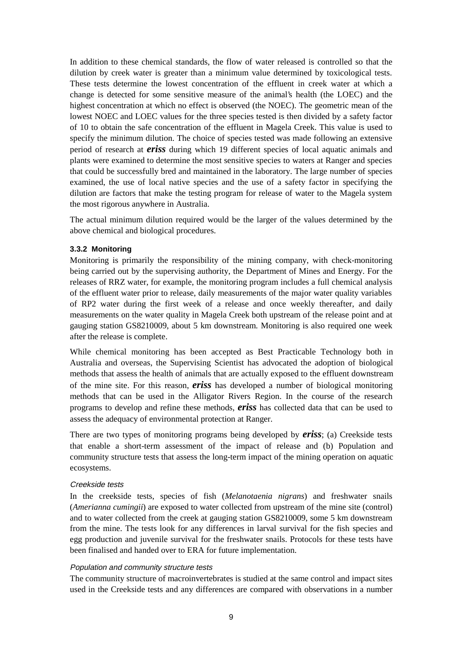In addition to these chemical standards, the flow of water released is controlled so that the dilution by creek water is greater than a minimum value determined by toxicological tests. These tests determine the lowest concentration of the effluent in creek water at which a change is detected for some sensitive measure of the animal's health (the LOEC) and the highest concentration at which no effect is observed (the NOEC). The geometric mean of the lowest NOEC and LOEC values for the three species tested is then divided by a safety factor of 10 to obtain the safe concentration of the effluent in Magela Creek. This value is used to specify the minimum dilution. The choice of species tested was made following an extensive period of research at *eriss* during which 19 different species of local aquatic animals and plants were examined to determine the most sensitive species to waters at Ranger and species that could be successfully bred and maintained in the laboratory. The large number of species examined, the use of local native species and the use of a safety factor in specifying the dilution are factors that make the testing program for release of water to the Magela system the most rigorous anywhere in Australia.

The actual minimum dilution required would be the larger of the values determined by the above chemical and biological procedures.

#### **3.3.2 Monitoring**

Monitoring is primarily the responsibility of the mining company, with check-monitoring being carried out by the supervising authority, the Department of Mines and Energy. For the releases of RRZ water, for example, the monitoring program includes a full chemical analysis of the effluent water prior to release, daily measurements of the major water quality variables of RP2 water during the first week of a release and once weekly thereafter, and daily measurements on the water quality in Magela Creek both upstream of the release point and at gauging station GS8210009, about 5 km downstream. Monitoring is also required one week after the release is complete.

While chemical monitoring has been accepted as Best Practicable Technology both in Australia and overseas, the Supervising Scientist has advocated the adoption of biological methods that assess the health of animals that are actually exposed to the effluent downstream of the mine site. For this reason, *eriss* has developed a number of biological monitoring methods that can be used in the Alligator Rivers Region. In the course of the research programs to develop and refine these methods, *eriss* has collected data that can be used to assess the adequacy of environmental protection at Ranger.

There are two types of monitoring programs being developed by *eriss*; (a) Creekside tests that enable a short-term assessment of the impact of release and (b) Population and community structure tests that assess the long-term impact of the mining operation on aquatic ecosystems.

#### Creekside tests

In the creekside tests, species of fish (*Melanotaenia nigrans*) and freshwater snails (*Amerianna cumingii*) are exposed to water collected from upstream of the mine site (control) and to water collected from the creek at gauging station GS8210009, some 5 km downstream from the mine. The tests look for any differences in larval survival for the fish species and egg production and juvenile survival for the freshwater snails. Protocols for these tests have been finalised and handed over to ERA for future implementation.

#### Population and community structure tests

The community structure of macroinvertebrates is studied at the same control and impact sites used in the Creekside tests and any differences are compared with observations in a number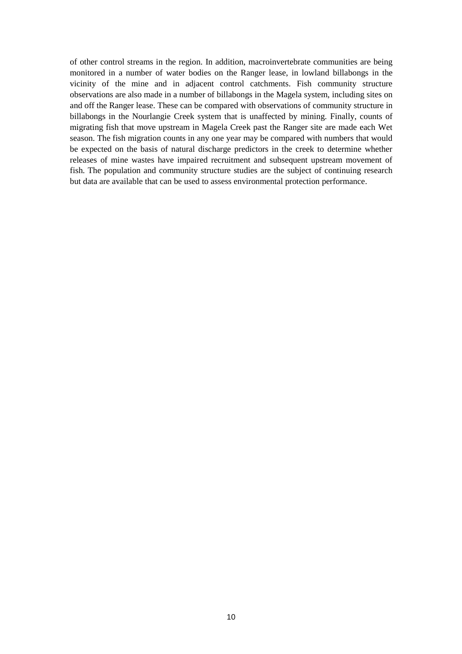of other control streams in the region. In addition, macroinvertebrate communities are being monitored in a number of water bodies on the Ranger lease, in lowland billabongs in the vicinity of the mine and in adjacent control catchments. Fish community structure observations are also made in a number of billabongs in the Magela system, including sites on and off the Ranger lease. These can be compared with observations of community structure in billabongs in the Nourlangie Creek system that is unaffected by mining. Finally, counts of migrating fish that move upstream in Magela Creek past the Ranger site are made each Wet season. The fish migration counts in any one year may be compared with numbers that would be expected on the basis of natural discharge predictors in the creek to determine whether releases of mine wastes have impaired recruitment and subsequent upstream movement of fish. The population and community structure studies are the subject of continuing research but data are available that can be used to assess environmental protection performance.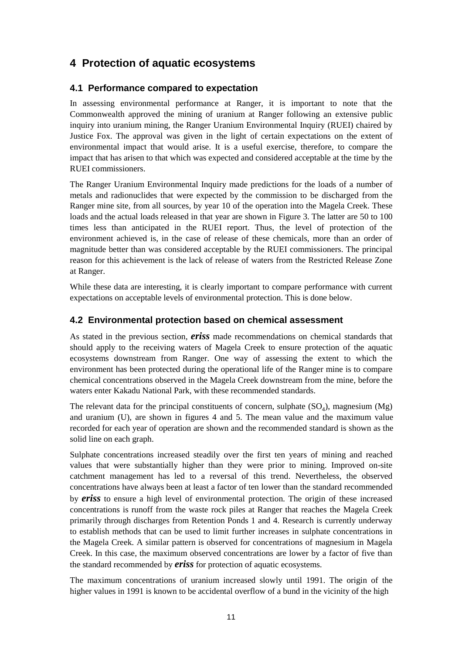## **4 Protection of aquatic ecosystems**

### **4.1 Performance compared to expectation**

In assessing environmental performance at Ranger, it is important to note that the Commonwealth approved the mining of uranium at Ranger following an extensive public inquiry into uranium mining, the Ranger Uranium Environmental Inquiry (RUEI) chaired by Justice Fox. The approval was given in the light of certain expectations on the extent of environmental impact that would arise. It is a useful exercise, therefore, to compare the impact that has arisen to that which was expected and considered acceptable at the time by the RUEI commissioners.

The Ranger Uranium Environmental Inquiry made predictions for the loads of a number of metals and radionuclides that were expected by the commission to be discharged from the Ranger mine site, from all sources, by year 10 of the operation into the Magela Creek. These loads and the actual loads released in that year are shown in Figure 3. The latter are 50 to 100 times less than anticipated in the RUEI report. Thus, the level of protection of the environment achieved is, in the case of release of these chemicals, more than an order of magnitude better than was considered acceptable by the RUEI commissioners. The principal reason for this achievement is the lack of release of waters from the Restricted Release Zone at Ranger.

While these data are interesting, it is clearly important to compare performance with current expectations on acceptable levels of environmental protection. This is done below.

### **4.2 Environmental protection based on chemical assessment**

As stated in the previous section, *eriss* made recommendations on chemical standards that should apply to the receiving waters of Magela Creek to ensure protection of the aquatic ecosystems downstream from Ranger. One way of assessing the extent to which the environment has been protected during the operational life of the Ranger mine is to compare chemical concentrations observed in the Magela Creek downstream from the mine, before the waters enter Kakadu National Park, with these recommended standards.

The relevant data for the principal constituents of concern, sulphate  $(SO<sub>4</sub>)$ , magnesium  $(Mg)$ and uranium (U), are shown in figures 4 and 5. The mean value and the maximum value recorded for each year of operation are shown and the recommended standard is shown as the solid line on each graph.

Sulphate concentrations increased steadily over the first ten years of mining and reached values that were substantially higher than they were prior to mining. Improved on-site catchment management has led to a reversal of this trend. Nevertheless, the observed concentrations have always been at least a factor of ten lower than the standard recommended by *eriss* to ensure a high level of environmental protection. The origin of these increased concentrations is runoff from the waste rock piles at Ranger that reaches the Magela Creek primarily through discharges from Retention Ponds 1 and 4. Research is currently underway to establish methods that can be used to limit further increases in sulphate concentrations in the Magela Creek. A similar pattern is observed for concentrations of magnesium in Magela Creek. In this case, the maximum observed concentrations are lower by a factor of five than the standard recommended by *eriss* for protection of aquatic ecosystems.

The maximum concentrations of uranium increased slowly until 1991. The origin of the higher values in 1991 is known to be accidental overflow of a bund in the vicinity of the high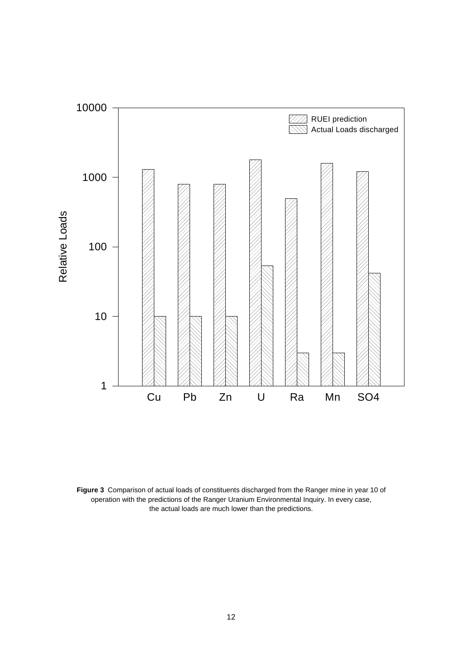

**Figure 3** Comparison of actual loads of constituents discharged from the Ranger mine in year 10 of operation with the predictions of the Ranger Uranium Environmental Inquiry. In every case, the actual loads are much lower than the predictions.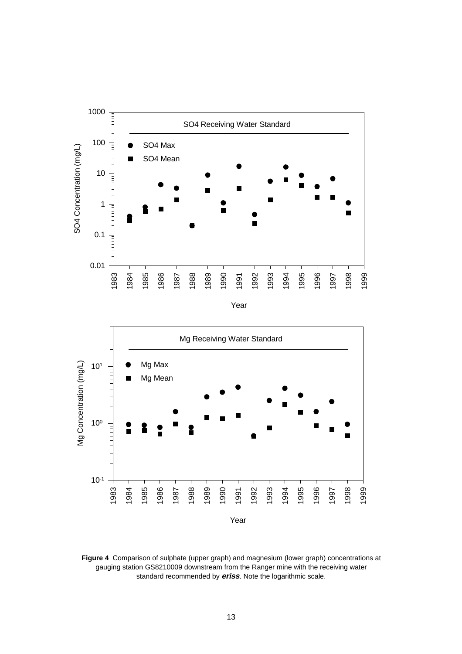



**Figure 4** Comparison of sulphate (upper graph) and magnesium (lower graph) concentrations at gauging station GS8210009 downstream from the Ranger mine with the receiving water standard recommended by **eriss**. Note the logarithmic scale.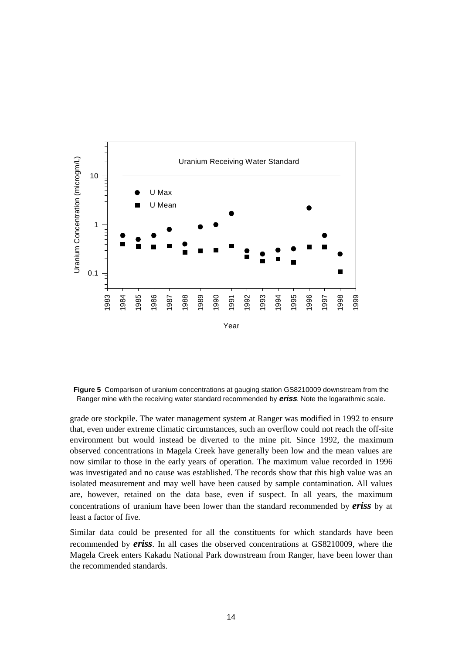

**Figure 5** Comparison of uranium concentrations at gauging station GS8210009 downstream from the Ranger mine with the receiving water standard recommended by **eriss**. Note the logarathmic scale.

grade ore stockpile. The water management system at Ranger was modified in 1992 to ensure that, even under extreme climatic circumstances, such an overflow could not reach the off-site environment but would instead be diverted to the mine pit. Since 1992, the maximum observed concentrations in Magela Creek have generally been low and the mean values are now similar to those in the early years of operation. The maximum value recorded in 1996 was investigated and no cause was established. The records show that this high value was an isolated measurement and may well have been caused by sample contamination. All values are, however, retained on the data base, even if suspect. In all years, the maximum concentrations of uranium have been lower than the standard recommended by *eriss* by at least a factor of five.

Similar data could be presented for all the constituents for which standards have been recommended by *eriss*. In all cases the observed concentrations at GS8210009, where the Magela Creek enters Kakadu National Park downstream from Ranger, have been lower than the recommended standards.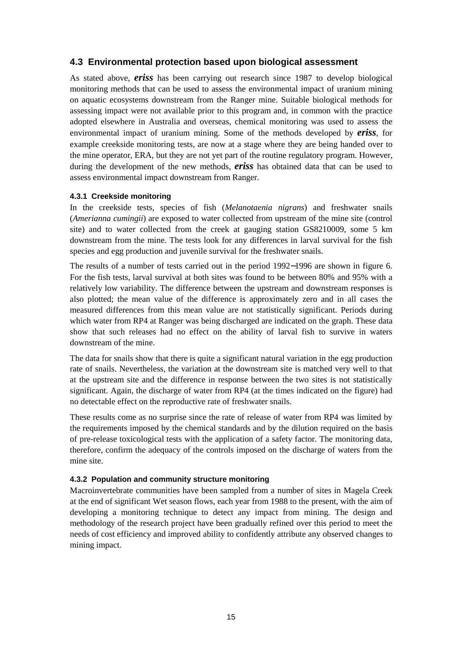#### **4.3 Environmental protection based upon biological assessment**

As stated above, *eriss* has been carrying out research since 1987 to develop biological monitoring methods that can be used to assess the environmental impact of uranium mining on aquatic ecosystems downstream from the Ranger mine. Suitable biological methods for assessing impact were not available prior to this program and, in common with the practice adopted elsewhere in Australia and overseas, chemical monitoring was used to assess the environmental impact of uranium mining. Some of the methods developed by *eriss*, for example creekside monitoring tests, are now at a stage where they are being handed over to the mine operator, ERA, but they are not yet part of the routine regulatory program. However, during the development of the new methods, *eriss* has obtained data that can be used to assess environmental impact downstream from Ranger.

#### **4.3.1 Creekside monitoring**

In the creekside tests, species of fish (*Melanotaenia nigrans*) and freshwater snails (*Amerianna cumingii*) are exposed to water collected from upstream of the mine site (control site) and to water collected from the creek at gauging station GS8210009, some 5 km downstream from the mine. The tests look for any differences in larval survival for the fish species and egg production and juvenile survival for the freshwater snails.

The results of a number of tests carried out in the period 1992−1996 are shown in figure 6. For the fish tests, larval survival at both sites was found to be between 80% and 95% with a relatively low variability. The difference between the upstream and downstream responses is also plotted; the mean value of the difference is approximately zero and in all cases the measured differences from this mean value are not statistically significant. Periods during which water from RP4 at Ranger was being discharged are indicated on the graph. These data show that such releases had no effect on the ability of larval fish to survive in waters downstream of the mine.

The data for snails show that there is quite a significant natural variation in the egg production rate of snails. Nevertheless, the variation at the downstream site is matched very well to that at the upstream site and the difference in response between the two sites is not statistically significant. Again, the discharge of water from RP4 (at the times indicated on the figure) had no detectable effect on the reproductive rate of freshwater snails.

These results come as no surprise since the rate of release of water from RP4 was limited by the requirements imposed by the chemical standards and by the dilution required on the basis of pre-release toxicological tests with the application of a safety factor. The monitoring data, therefore, confirm the adequacy of the controls imposed on the discharge of waters from the mine site.

#### **4.3.2 Population and community structure monitoring**

Macroinvertebrate communities have been sampled from a number of sites in Magela Creek at the end of significant Wet season flows, each year from 1988 to the present, with the aim of developing a monitoring technique to detect any impact from mining. The design and methodology of the research project have been gradually refined over this period to meet the needs of cost efficiency and improved ability to confidently attribute any observed changes to mining impact.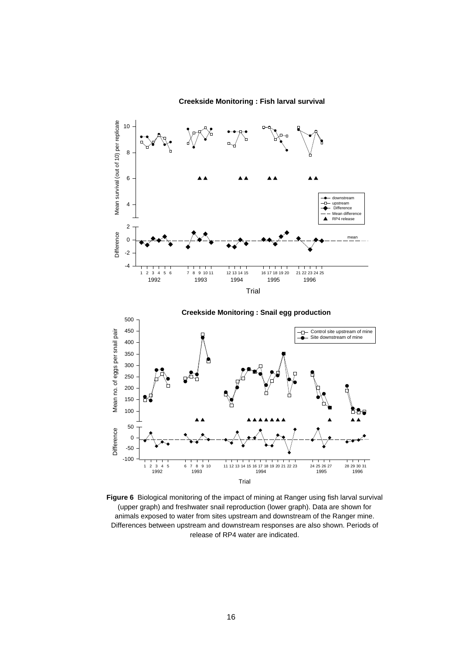**Creekside Monitoring : Fish larval survival**





**Figure 6** Biological monitoring of the impact of mining at Ranger using fish larval survival (upper graph) and freshwater snail reproduction (lower graph). Data are shown for animals exposed to water from sites upstream and downstream of the Ranger mine. Differences between upstream and downstream responses are also shown. Periods of release of RP4 water are indicated.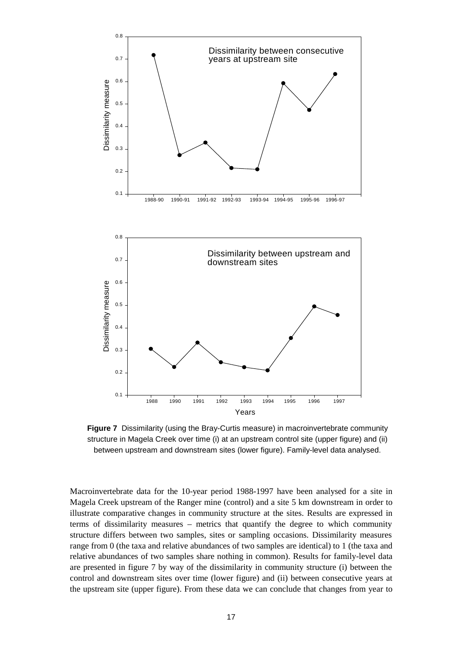

**Figure 7** Dissimilarity (using the Bray-Curtis measure) in macroinvertebrate community structure in Magela Creek over time (i) at an upstream control site (upper figure) and (ii) between upstream and downstream sites (lower figure). Family-level data analysed.

Macroinvertebrate data for the 10-year period 1988-1997 have been analysed for a site in Magela Creek upstream of the Ranger mine (control) and a site 5 km downstream in order to illustrate comparative changes in community structure at the sites. Results are expressed in terms of dissimilarity measures – metrics that quantify the degree to which community structure differs between two samples, sites or sampling occasions. Dissimilarity measures range from 0 (the taxa and relative abundances of two samples are identical) to 1 (the taxa and relative abundances of two samples share nothing in common). Results for family-level data are presented in figure 7 by way of the dissimilarity in community structure (i) between the control and downstream sites over time (lower figure) and (ii) between consecutive years at the upstream site (upper figure). From these data we can conclude that changes from year to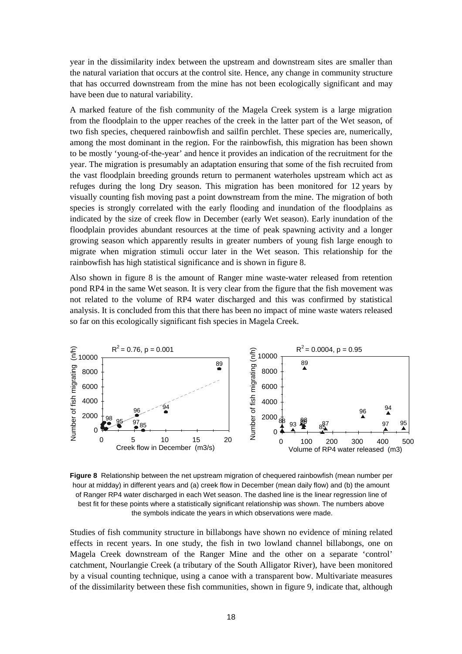year in the dissimilarity index between the upstream and downstream sites are smaller than the natural variation that occurs at the control site. Hence, any change in community structure that has occurred downstream from the mine has not been ecologically significant and may have been due to natural variability.

A marked feature of the fish community of the Magela Creek system is a large migration from the floodplain to the upper reaches of the creek in the latter part of the Wet season, of two fish species, chequered rainbowfish and sailfin perchlet. These species are, numerically, among the most dominant in the region. For the rainbowfish, this migration has been shown to be mostly 'young-of-the-year' and hence it provides an indication of the recruitment for the year. The migration is presumably an adaptation ensuring that some of the fish recruited from the vast floodplain breeding grounds return to permanent waterholes upstream which act as refuges during the long Dry season. This migration has been monitored for 12 years by visually counting fish moving past a point downstream from the mine. The migration of both species is strongly correlated with the early flooding and inundation of the floodplains as indicated by the size of creek flow in December (early Wet season). Early inundation of the floodplain provides abundant resources at the time of peak spawning activity and a longer growing season which apparently results in greater numbers of young fish large enough to migrate when migration stimuli occur later in the Wet season. This relationship for the rainbowfish has high statistical significance and is shown in figure 8.

Also shown in figure 8 is the amount of Ranger mine waste-water released from retention pond RP4 in the same Wet season. It is very clear from the figure that the fish movement was not related to the volume of RP4 water discharged and this was confirmed by statistical analysis. It is concluded from this that there has been no impact of mine waste waters released so far on this ecologically significant fish species in Magela Creek.



**Figure 8** Relationship between the net upstream migration of chequered rainbowfish (mean number per hour at midday) in different years and (a) creek flow in December (mean daily flow) and (b) the amount of Ranger RP4 water discharged in each Wet season. The dashed line is the linear regression line of best fit for these points where a statistically significant relationship was shown. The numbers above the symbols indicate the years in which observations were made.

Studies of fish community structure in billabongs have shown no evidence of mining related effects in recent years. In one study, the fish in two lowland channel billabongs, one on Magela Creek downstream of the Ranger Mine and the other on a separate 'control' catchment, Nourlangie Creek (a tributary of the South Alligator River), have been monitored by a visual counting technique, using a canoe with a transparent bow. Multivariate measures of the dissimilarity between these fish communities, shown in figure 9, indicate that, although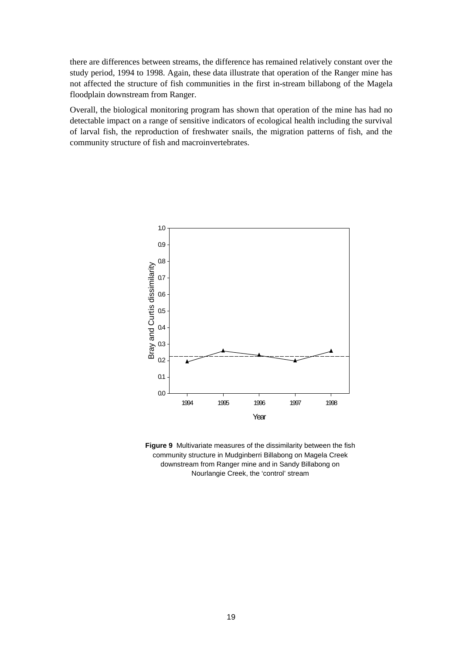there are differences between streams, the difference has remained relatively constant over the study period, 1994 to 1998. Again, these data illustrate that operation of the Ranger mine has not affected the structure of fish communities in the first in-stream billabong of the Magela floodplain downstream from Ranger.

Overall, the biological monitoring program has shown that operation of the mine has had no detectable impact on a range of sensitive indicators of ecological health including the survival of larval fish, the reproduction of freshwater snails, the migration patterns of fish, and the community structure of fish and macroinvertebrates.



**Figure 9** Multivariate measures of the dissimilarity between the fish community structure in Mudginberri Billabong on Magela Creek downstream from Ranger mine and in Sandy Billabong on Nourlangie Creek, the 'control' stream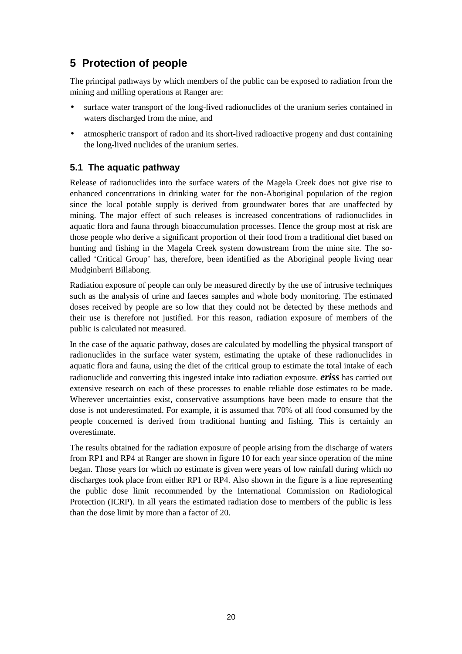# **5 Protection of people**

The principal pathways by which members of the public can be exposed to radiation from the mining and milling operations at Ranger are:

- surface water transport of the long-lived radionuclides of the uranium series contained in waters discharged from the mine, and
- atmospheric transport of radon and its short-lived radioactive progeny and dust containing the long-lived nuclides of the uranium series.

### **5.1 The aquatic pathway**

Release of radionuclides into the surface waters of the Magela Creek does not give rise to enhanced concentrations in drinking water for the non-Aboriginal population of the region since the local potable supply is derived from groundwater bores that are unaffected by mining. The major effect of such releases is increased concentrations of radionuclides in aquatic flora and fauna through bioaccumulation processes. Hence the group most at risk are those people who derive a significant proportion of their food from a traditional diet based on hunting and fishing in the Magela Creek system downstream from the mine site. The socalled 'Critical Group' has, therefore, been identified as the Aboriginal people living near Mudginberri Billabong.

Radiation exposure of people can only be measured directly by the use of intrusive techniques such as the analysis of urine and faeces samples and whole body monitoring. The estimated doses received by people are so low that they could not be detected by these methods and their use is therefore not justified. For this reason, radiation exposure of members of the public is calculated not measured.

In the case of the aquatic pathway, doses are calculated by modelling the physical transport of radionuclides in the surface water system, estimating the uptake of these radionuclides in aquatic flora and fauna, using the diet of the critical group to estimate the total intake of each radionuclide and converting this ingested intake into radiation exposure. *eriss* has carried out extensive research on each of these processes to enable reliable dose estimates to be made. Wherever uncertainties exist, conservative assumptions have been made to ensure that the dose is not underestimated. For example, it is assumed that 70% of all food consumed by the people concerned is derived from traditional hunting and fishing. This is certainly an overestimate.

The results obtained for the radiation exposure of people arising from the discharge of waters from RP1 and RP4 at Ranger are shown in figure 10 for each year since operation of the mine began. Those years for which no estimate is given were years of low rainfall during which no discharges took place from either RP1 or RP4. Also shown in the figure is a line representing the public dose limit recommended by the International Commission on Radiological Protection (ICRP). In all years the estimated radiation dose to members of the public is less than the dose limit by more than a factor of 20.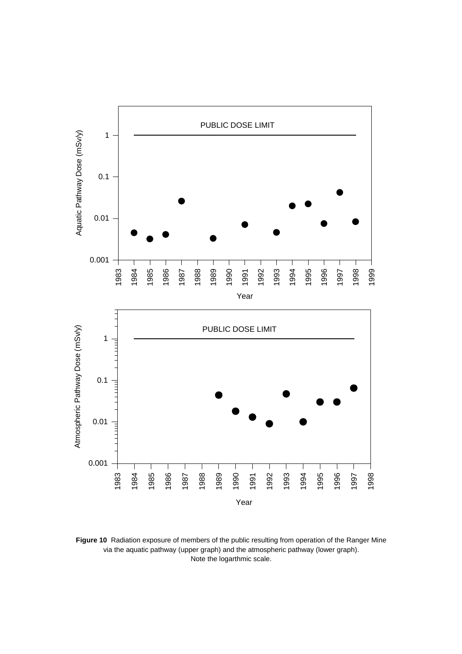

**Figure 10** Radiation exposure of members of the public resulting from operation of the Ranger Mine via the aquatic pathway (upper graph) and the atmospheric pathway (lower graph). Note the logarthmic scale.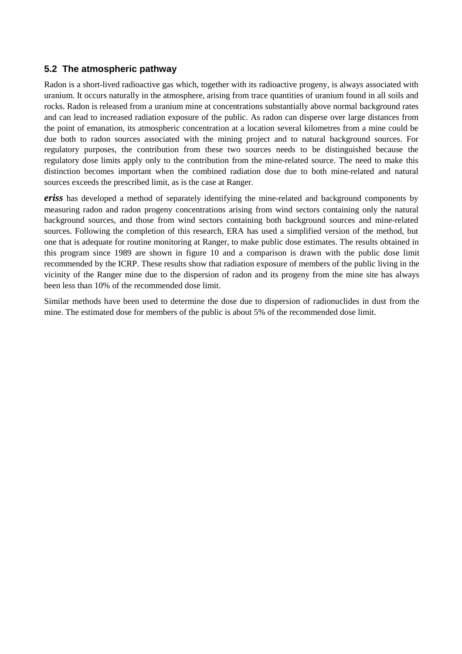### **5.2 The atmospheric pathway**

Radon is a short-lived radioactive gas which, together with its radioactive progeny, is always associated with uranium. It occurs naturally in the atmosphere, arising from trace quantities of uranium found in all soils and rocks. Radon is released from a uranium mine at concentrations substantially above normal background rates and can lead to increased radiation exposure of the public. As radon can disperse over large distances from the point of emanation, its atmospheric concentration at a location several kilometres from a mine could be due both to radon sources associated with the mining project and to natural background sources. For regulatory purposes, the contribution from these two sources needs to be distinguished because the regulatory dose limits apply only to the contribution from the mine-related source. The need to make this distinction becomes important when the combined radiation dose due to both mine-related and natural sources exceeds the prescribed limit, as is the case at Ranger.

*eriss* has developed a method of separately identifying the mine-related and background components by measuring radon and radon progeny concentrations arising from wind sectors containing only the natural background sources, and those from wind sectors containing both background sources and mine-related sources. Following the completion of this research, ERA has used a simplified version of the method, but one that is adequate for routine monitoring at Ranger, to make public dose estimates. The results obtained in this program since 1989 are shown in figure 10 and a comparison is drawn with the public dose limit recommended by the ICRP. These results show that radiation exposure of members of the public living in the vicinity of the Ranger mine due to the dispersion of radon and its progeny from the mine site has always been less than 10% of the recommended dose limit.

Similar methods have been used to determine the dose due to dispersion of radionuclides in dust from the mine. The estimated dose for members of the public is about 5% of the recommended dose limit.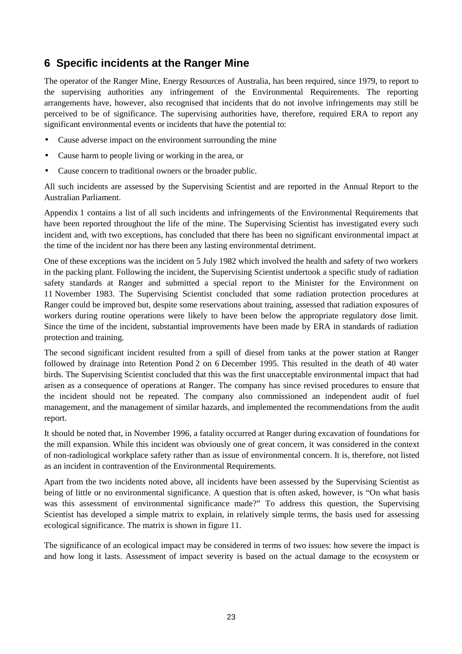# **6 Specific incidents at the Ranger Mine**

The operator of the Ranger Mine, Energy Resources of Australia, has been required, since 1979, to report to the supervising authorities any infringement of the Environmental Requirements. The reporting arrangements have, however, also recognised that incidents that do not involve infringements may still be perceived to be of significance. The supervising authorities have, therefore, required ERA to report any significant environmental events or incidents that have the potential to:

- Cause adverse impact on the environment surrounding the mine
- Cause harm to people living or working in the area, or
- Cause concern to traditional owners or the broader public.

All such incidents are assessed by the Supervising Scientist and are reported in the Annual Report to the Australian Parliament.

Appendix 1 contains a list of all such incidents and infringements of the Environmental Requirements that have been reported throughout the life of the mine. The Supervising Scientist has investigated every such incident and, with two exceptions, has concluded that there has been no significant environmental impact at the time of the incident nor has there been any lasting environmental detriment.

One of these exceptions was the incident on 5 July 1982 which involved the health and safety of two workers in the packing plant. Following the incident, the Supervising Scientist undertook a specific study of radiation safety standards at Ranger and submitted a special report to the Minister for the Environment on 11 November 1983. The Supervising Scientist concluded that some radiation protection procedures at Ranger could be improved but, despite some reservations about training, assessed that radiation exposures of workers during routine operations were likely to have been below the appropriate regulatory dose limit. Since the time of the incident, substantial improvements have been made by ERA in standards of radiation protection and training.

The second significant incident resulted from a spill of diesel from tanks at the power station at Ranger followed by drainage into Retention Pond 2 on 6 December 1995. This resulted in the death of 40 water birds. The Supervising Scientist concluded that this was the first unacceptable environmental impact that had arisen as a consequence of operations at Ranger. The company has since revised procedures to ensure that the incident should not be repeated. The company also commissioned an independent audit of fuel management, and the management of similar hazards, and implemented the recommendations from the audit report.

It should be noted that, in November 1996, a fatality occurred at Ranger during excavation of foundations for the mill expansion. While this incident was obviously one of great concern, it was considered in the context of non-radiological workplace safety rather than as issue of environmental concern. It is, therefore, not listed as an incident in contravention of the Environmental Requirements.

Apart from the two incidents noted above, all incidents have been assessed by the Supervising Scientist as being of little or no environmental significance. A question that is often asked, however, is "On what basis was this assessment of environmental significance made?" To address this question, the Supervising Scientist has developed a simple matrix to explain, in relatively simple terms, the basis used for assessing ecological significance. The matrix is shown in figure 11.

The significance of an ecological impact may be considered in terms of two issues: how severe the impact is and how long it lasts. Assessment of impact severity is based on the actual damage to the ecosystem or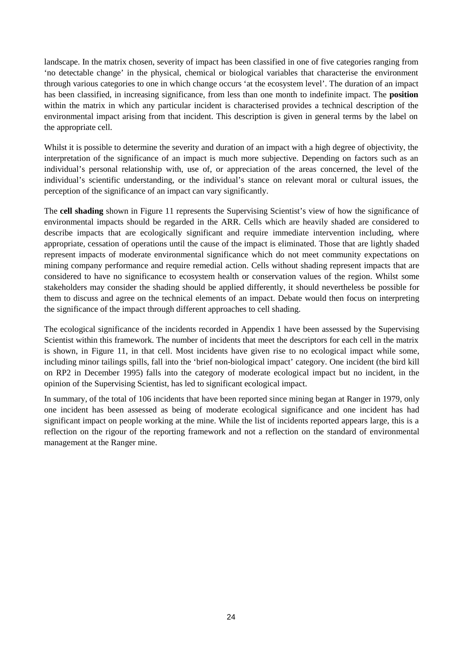landscape. In the matrix chosen, severity of impact has been classified in one of five categories ranging from 'no detectable change' in the physical, chemical or biological variables that characterise the environment through various categories to one in which change occurs 'at the ecosystem level'. The duration of an impact has been classified, in increasing significance, from less than one month to indefinite impact. The **position** within the matrix in which any particular incident is characterised provides a technical description of the environmental impact arising from that incident. This description is given in general terms by the label on the appropriate cell.

Whilst it is possible to determine the severity and duration of an impact with a high degree of objectivity, the interpretation of the significance of an impact is much more subjective. Depending on factors such as an individual's personal relationship with, use of, or appreciation of the areas concerned, the level of the individual's scientific understanding, or the individual's stance on relevant moral or cultural issues, the perception of the significance of an impact can vary significantly.

The **cell shading** shown in Figure 11 represents the Supervising Scientist's view of how the significance of environmental impacts should be regarded in the ARR. Cells which are heavily shaded are considered to describe impacts that are ecologically significant and require immediate intervention including, where appropriate, cessation of operations until the cause of the impact is eliminated. Those that are lightly shaded represent impacts of moderate environmental significance which do not meet community expectations on mining company performance and require remedial action. Cells without shading represent impacts that are considered to have no significance to ecosystem health or conservation values of the region. Whilst some stakeholders may consider the shading should be applied differently, it should nevertheless be possible for them to discuss and agree on the technical elements of an impact. Debate would then focus on interpreting the significance of the impact through different approaches to cell shading.

The ecological significance of the incidents recorded in Appendix 1 have been assessed by the Supervising Scientist within this framework. The number of incidents that meet the descriptors for each cell in the matrix is shown, in Figure 11, in that cell. Most incidents have given rise to no ecological impact while some, including minor tailings spills, fall into the 'brief non-biological impact' category. One incident (the bird kill on RP2 in December 1995) falls into the category of moderate ecological impact but no incident, in the opinion of the Supervising Scientist, has led to significant ecological impact.

In summary, of the total of 106 incidents that have been reported since mining began at Ranger in 1979, only one incident has been assessed as being of moderate ecological significance and one incident has had significant impact on people working at the mine. While the list of incidents reported appears large, this is a reflection on the rigour of the reporting framework and not a reflection on the standard of environmental management at the Ranger mine.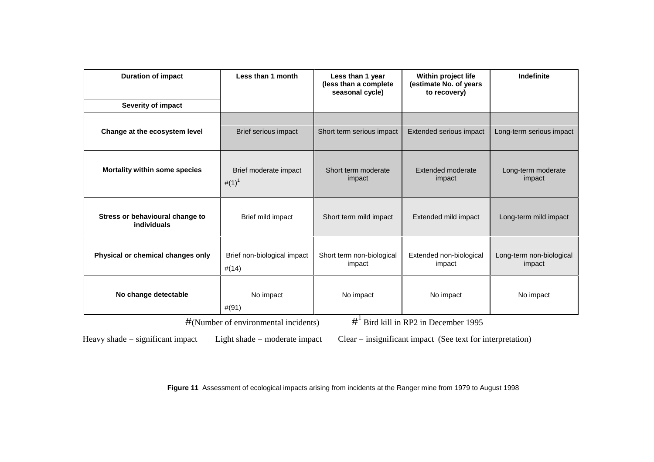| <b>Duration of impact</b>                      | Less than 1 month                    | Less than 1 year<br>(less than a complete<br>seasonal cycle) | Within project life<br>(estimate No. of years<br>to recovery) | Indefinite                         |
|------------------------------------------------|--------------------------------------|--------------------------------------------------------------|---------------------------------------------------------------|------------------------------------|
| Severity of impact                             |                                      |                                                              |                                                               |                                    |
| Change at the ecosystem level                  | Brief serious impact                 | Short term serious impact                                    | Extended serious impact                                       | Long-term serious impact           |
| Mortality within some species                  | Brief moderate impact<br>$\#(1)^{1}$ | Short term moderate<br>impact                                | Extended moderate<br>impact                                   | Long-term moderate<br>impact       |
| Stress or behavioural change to<br>individuals | Brief mild impact                    | Short term mild impact                                       | Extended mild impact                                          | Long-term mild impact              |
| Physical or chemical changes only              | Brief non-biological impact<br>#(14) | Short term non-biological<br>impact                          | Extended non-biological<br>impact                             | Long-term non-biological<br>impact |
| No change detectable                           | No impact<br>#(91)                   | No impact                                                    | No impact                                                     | No impact                          |

#(Number of environmental incidents)

#<sup>1</sup> Bird kill in RP2 in December 1995

Heavy shade = significant impact Light shade = moderate impact Clear = insignificant impact (See text for interpretation)

**Figure 11** Assessment of ecological impacts arising from incidents at the Ranger mine from 1979 to August 1998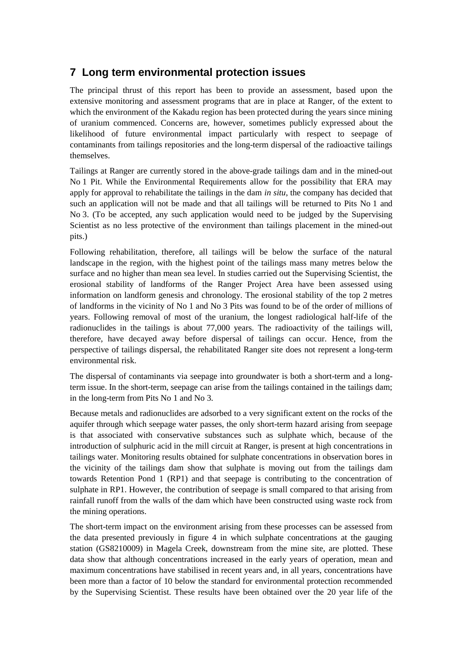### **7 Long term environmental protection issues**

The principal thrust of this report has been to provide an assessment, based upon the extensive monitoring and assessment programs that are in place at Ranger, of the extent to which the environment of the Kakadu region has been protected during the years since mining of uranium commenced. Concerns are, however, sometimes publicly expressed about the likelihood of future environmental impact particularly with respect to seepage of contaminants from tailings repositories and the long-term dispersal of the radioactive tailings themselves.

Tailings at Ranger are currently stored in the above-grade tailings dam and in the mined-out No 1 Pit. While the Environmental Requirements allow for the possibility that ERA may apply for approval to rehabilitate the tailings in the dam *in situ*, the company has decided that such an application will not be made and that all tailings will be returned to Pits No 1 and No 3. (To be accepted, any such application would need to be judged by the Supervising Scientist as no less protective of the environment than tailings placement in the mined-out pits.)

Following rehabilitation, therefore, all tailings will be below the surface of the natural landscape in the region, with the highest point of the tailings mass many metres below the surface and no higher than mean sea level. In studies carried out the Supervising Scientist, the erosional stability of landforms of the Ranger Project Area have been assessed using information on landform genesis and chronology. The erosional stability of the top 2 metres of landforms in the vicinity of No 1 and No 3 Pits was found to be of the order of millions of years. Following removal of most of the uranium, the longest radiological half-life of the radionuclides in the tailings is about 77,000 years. The radioactivity of the tailings will, therefore, have decayed away before dispersal of tailings can occur. Hence, from the perspective of tailings dispersal, the rehabilitated Ranger site does not represent a long-term environmental risk.

The dispersal of contaminants via seepage into groundwater is both a short-term and a longterm issue. In the short-term, seepage can arise from the tailings contained in the tailings dam; in the long-term from Pits No 1 and No 3.

Because metals and radionuclides are adsorbed to a very significant extent on the rocks of the aquifer through which seepage water passes, the only short-term hazard arising from seepage is that associated with conservative substances such as sulphate which, because of the introduction of sulphuric acid in the mill circuit at Ranger, is present at high concentrations in tailings water. Monitoring results obtained for sulphate concentrations in observation bores in the vicinity of the tailings dam show that sulphate is moving out from the tailings dam towards Retention Pond 1 (RP1) and that seepage is contributing to the concentration of sulphate in RP1. However, the contribution of seepage is small compared to that arising from rainfall runoff from the walls of the dam which have been constructed using waste rock from the mining operations.

The short-term impact on the environment arising from these processes can be assessed from the data presented previously in figure 4 in which sulphate concentrations at the gauging station (GS8210009) in Magela Creek, downstream from the mine site, are plotted. These data show that although concentrations increased in the early years of operation, mean and maximum concentrations have stabilised in recent years and, in all years, concentrations have been more than a factor of 10 below the standard for environmental protection recommended by the Supervising Scientist. These results have been obtained over the 20 year life of the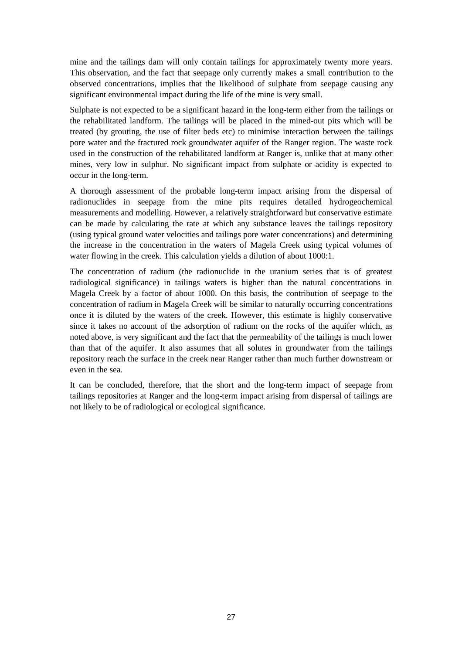mine and the tailings dam will only contain tailings for approximately twenty more years. This observation, and the fact that seepage only currently makes a small contribution to the observed concentrations, implies that the likelihood of sulphate from seepage causing any significant environmental impact during the life of the mine is very small.

Sulphate is not expected to be a significant hazard in the long-term either from the tailings or the rehabilitated landform. The tailings will be placed in the mined-out pits which will be treated (by grouting, the use of filter beds etc) to minimise interaction between the tailings pore water and the fractured rock groundwater aquifer of the Ranger region. The waste rock used in the construction of the rehabilitated landform at Ranger is, unlike that at many other mines, very low in sulphur. No significant impact from sulphate or acidity is expected to occur in the long-term.

A thorough assessment of the probable long-term impact arising from the dispersal of radionuclides in seepage from the mine pits requires detailed hydrogeochemical measurements and modelling. However, a relatively straightforward but conservative estimate can be made by calculating the rate at which any substance leaves the tailings repository (using typical ground water velocities and tailings pore water concentrations) and determining the increase in the concentration in the waters of Magela Creek using typical volumes of water flowing in the creek. This calculation yields a dilution of about 1000:1.

The concentration of radium (the radionuclide in the uranium series that is of greatest radiological significance) in tailings waters is higher than the natural concentrations in Magela Creek by a factor of about 1000. On this basis, the contribution of seepage to the concentration of radium in Magela Creek will be similar to naturally occurring concentrations once it is diluted by the waters of the creek. However, this estimate is highly conservative since it takes no account of the adsorption of radium on the rocks of the aquifer which, as noted above, is very significant and the fact that the permeability of the tailings is much lower than that of the aquifer. It also assumes that all solutes in groundwater from the tailings repository reach the surface in the creek near Ranger rather than much further downstream or even in the sea.

It can be concluded, therefore, that the short and the long-term impact of seepage from tailings repositories at Ranger and the long-term impact arising from dispersal of tailings are not likely to be of radiological or ecological significance.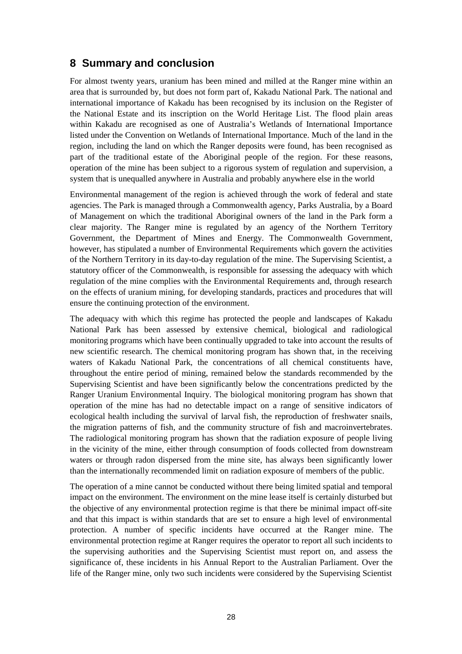### **8 Summary and conclusion**

For almost twenty years, uranium has been mined and milled at the Ranger mine within an area that is surrounded by, but does not form part of, Kakadu National Park. The national and international importance of Kakadu has been recognised by its inclusion on the Register of the National Estate and its inscription on the World Heritage List. The flood plain areas within Kakadu are recognised as one of Australia's Wetlands of International Importance listed under the Convention on Wetlands of International Importance. Much of the land in the region, including the land on which the Ranger deposits were found, has been recognised as part of the traditional estate of the Aboriginal people of the region. For these reasons, operation of the mine has been subject to a rigorous system of regulation and supervision, a system that is unequalled anywhere in Australia and probably anywhere else in the world

Environmental management of the region is achieved through the work of federal and state agencies. The Park is managed through a Commonwealth agency, Parks Australia, by a Board of Management on which the traditional Aboriginal owners of the land in the Park form a clear majority. The Ranger mine is regulated by an agency of the Northern Territory Government, the Department of Mines and Energy. The Commonwealth Government, however, has stipulated a number of Environmental Requirements which govern the activities of the Northern Territory in its day-to-day regulation of the mine. The Supervising Scientist, a statutory officer of the Commonwealth, is responsible for assessing the adequacy with which regulation of the mine complies with the Environmental Requirements and, through research on the effects of uranium mining, for developing standards, practices and procedures that will ensure the continuing protection of the environment.

The adequacy with which this regime has protected the people and landscapes of Kakadu National Park has been assessed by extensive chemical, biological and radiological monitoring programs which have been continually upgraded to take into account the results of new scientific research. The chemical monitoring program has shown that, in the receiving waters of Kakadu National Park, the concentrations of all chemical constituents have, throughout the entire period of mining, remained below the standards recommended by the Supervising Scientist and have been significantly below the concentrations predicted by the Ranger Uranium Environmental Inquiry. The biological monitoring program has shown that operation of the mine has had no detectable impact on a range of sensitive indicators of ecological health including the survival of larval fish, the reproduction of freshwater snails, the migration patterns of fish, and the community structure of fish and macroinvertebrates. The radiological monitoring program has shown that the radiation exposure of people living in the vicinity of the mine, either through consumption of foods collected from downstream waters or through radon dispersed from the mine site, has always been significantly lower than the internationally recommended limit on radiation exposure of members of the public.

The operation of a mine cannot be conducted without there being limited spatial and temporal impact on the environment. The environment on the mine lease itself is certainly disturbed but the objective of any environmental protection regime is that there be minimal impact off-site and that this impact is within standards that are set to ensure a high level of environmental protection. A number of specific incidents have occurred at the Ranger mine. The environmental protection regime at Ranger requires the operator to report all such incidents to the supervising authorities and the Supervising Scientist must report on, and assess the significance of, these incidents in his Annual Report to the Australian Parliament. Over the life of the Ranger mine, only two such incidents were considered by the Supervising Scientist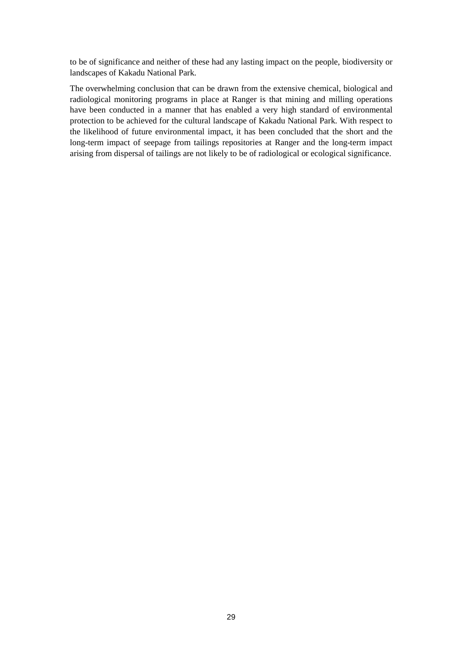to be of significance and neither of these had any lasting impact on the people, biodiversity or landscapes of Kakadu National Park.

The overwhelming conclusion that can be drawn from the extensive chemical, biological and radiological monitoring programs in place at Ranger is that mining and milling operations have been conducted in a manner that has enabled a very high standard of environmental protection to be achieved for the cultural landscape of Kakadu National Park. With respect to the likelihood of future environmental impact, it has been concluded that the short and the long-term impact of seepage from tailings repositories at Ranger and the long-term impact arising from dispersal of tailings are not likely to be of radiological or ecological significance.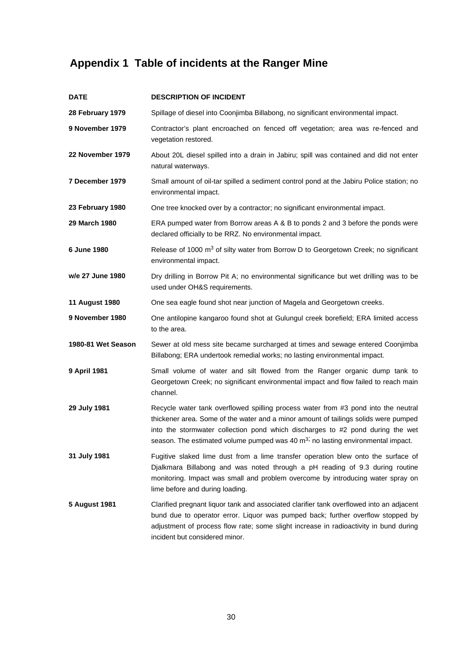# **Appendix 1 Table of incidents at the Ranger Mine**

| <b>DATE</b>           | <b>DESCRIPTION OF INCIDENT</b>                                                                                                                                                                                                                                                                                                                             |
|-----------------------|------------------------------------------------------------------------------------------------------------------------------------------------------------------------------------------------------------------------------------------------------------------------------------------------------------------------------------------------------------|
| 28 February 1979      | Spillage of diesel into Coonjimba Billabong, no significant environmental impact.                                                                                                                                                                                                                                                                          |
| 9 November 1979       | Contractor's plant encroached on fenced off vegetation; area was re-fenced and<br>vegetation restored.                                                                                                                                                                                                                                                     |
| 22 November 1979      | About 20L diesel spilled into a drain in Jabiru; spill was contained and did not enter<br>natural waterways.                                                                                                                                                                                                                                               |
| 7 December 1979       | Small amount of oil-tar spilled a sediment control pond at the Jabiru Police station; no<br>environmental impact.                                                                                                                                                                                                                                          |
| 23 February 1980      | One tree knocked over by a contractor; no significant environmental impact.                                                                                                                                                                                                                                                                                |
| 29 March 1980         | ERA pumped water from Borrow areas A & B to ponds 2 and 3 before the ponds were<br>declared officially to be RRZ. No environmental impact.                                                                                                                                                                                                                 |
| 6 June 1980           | Release of 1000 m <sup>3</sup> of silty water from Borrow D to Georgetown Creek; no significant<br>environmental impact.                                                                                                                                                                                                                                   |
| w/e 27 June 1980      | Dry drilling in Borrow Pit A; no environmental significance but wet drilling was to be<br>used under OH&S requirements.                                                                                                                                                                                                                                    |
| <b>11 August 1980</b> | One sea eagle found shot near junction of Magela and Georgetown creeks.                                                                                                                                                                                                                                                                                    |
| 9 November 1980       | One antilopine kangaroo found shot at Gulungul creek borefield; ERA limited access<br>to the area.                                                                                                                                                                                                                                                         |
| 1980-81 Wet Season    | Sewer at old mess site became surcharged at times and sewage entered Coonjimba<br>Billabong; ERA undertook remedial works; no lasting environmental impact.                                                                                                                                                                                                |
| 9 April 1981          | Small volume of water and silt flowed from the Ranger organic dump tank to<br>Georgetown Creek; no significant environmental impact and flow failed to reach main<br>channel.                                                                                                                                                                              |
| 29 July 1981          | Recycle water tank overflowed spilling process water from #3 pond into the neutral<br>thickener area. Some of the water and a minor amount of tailings solids were pumped<br>into the stormwater collection pond which discharges to #2 pond during the wet<br>season. The estimated volume pumped was 40 m <sup>3;</sup> no lasting environmental impact. |
| 31 July 1981          | Fugitive slaked lime dust from a lime transfer operation blew onto the surface of<br>Djalkmara Billabong and was noted through a pH reading of 9.3 during routine<br>monitoring. Impact was small and problem overcome by introducing water spray on<br>lime before and during loading.                                                                    |
| <b>5 August 1981</b>  | Clarified pregnant liquor tank and associated clarifier tank overflowed into an adjacent<br>bund due to operator error. Liquor was pumped back; further overflow stopped by<br>adjustment of process flow rate; some slight increase in radioactivity in bund during<br>incident but considered minor.                                                     |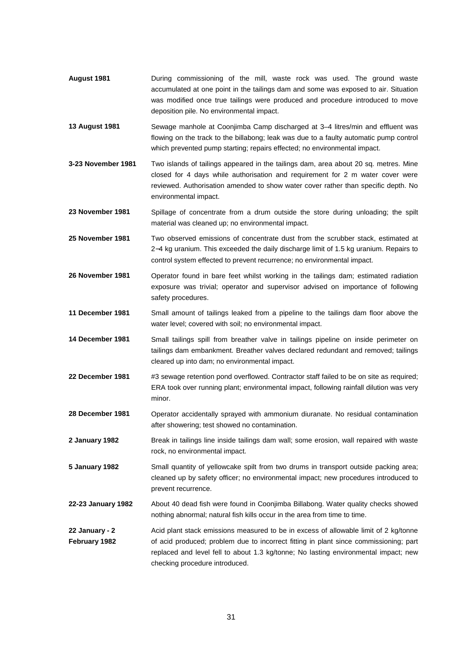- **August 1981** During commissioning of the mill, waste rock was used. The ground waste accumulated at one point in the tailings dam and some was exposed to air. Situation was modified once true tailings were produced and procedure introduced to move deposition pile. No environmental impact.
- **13 August 1981** Sewage manhole at Coonjimba Camp discharged at 3–4 litres/min and effluent was flowing on the track to the billabong; leak was due to a faulty automatic pump control which prevented pump starting; repairs effected; no environmental impact.
- **3-23 November 1981** Two islands of tailings appeared in the tailings dam, area about 20 sq. metres. Mine closed for 4 days while authorisation and requirement for 2 m water cover were reviewed. Authorisation amended to show water cover rather than specific depth. No environmental impact.
- **23 November 1981** Spillage of concentrate from a drum outside the store during unloading; the spilt material was cleaned up; no environmental impact.
- **25 November 1981** Two observed emissions of concentrate dust from the scrubber stack, estimated at 2−4 kg uranium. This exceeded the daily discharge limit of 1.5 kg uranium. Repairs to control system effected to prevent recurrence; no environmental impact.
- **26 November 1981** Operator found in bare feet whilst working in the tailings dam; estimated radiation exposure was trivial; operator and supervisor advised on importance of following safety procedures.
- **11 December 1981** Small amount of tailings leaked from a pipeline to the tailings dam floor above the water level; covered with soil; no environmental impact.
- **14 December 1981** Small tailings spill from breather valve in tailings pipeline on inside perimeter on tailings dam embankment. Breather valves declared redundant and removed; tailings cleared up into dam; no environmental impact.
- **22 December 1981** #3 sewage retention pond overflowed. Contractor staff failed to be on site as required; ERA took over running plant; environmental impact, following rainfall dilution was very minor.
- **28 December 1981** Operator accidentally sprayed with ammonium diuranate. No residual contamination after showering; test showed no contamination.
- **2 January 1982** Break in tailings line inside tailings dam wall; some erosion, wall repaired with waste rock, no environmental impact.
- **5 January 1982** Small quantity of yellowcake spilt from two drums in transport outside packing area; cleaned up by safety officer; no environmental impact; new procedures introduced to prevent recurrence.
- **22-23 January 1982** About 40 dead fish were found in Coonjimba Billabong. Water quality checks showed nothing abnormal; natural fish kills occur in the area from time to time.
- **22 January 2 February 1982** Acid plant stack emissions measured to be in excess of allowable limit of 2 kg/tonne of acid produced; problem due to incorrect fitting in plant since commissioning; part replaced and level fell to about 1.3 kg/tonne; No lasting environmental impact; new checking procedure introduced.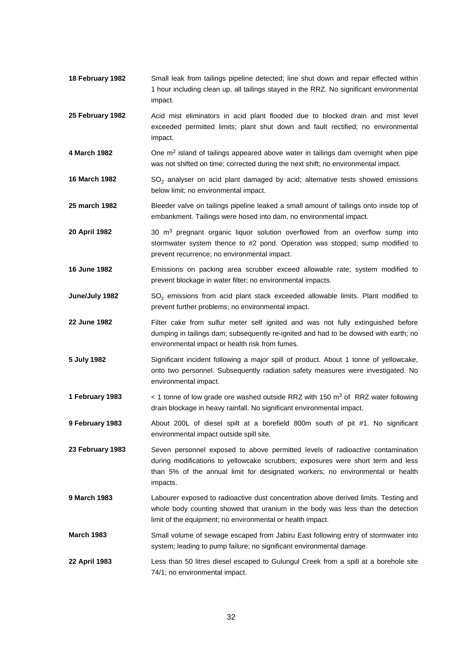- **18 February 1982** Small leak from tailings pipeline detected; line shut down and repair effected within 1 hour including clean up, all tailings stayed in the RRZ. No significant environmental impact.
- **25 February 1982** Acid mist eliminators in acid plant flooded due to blocked drain and mist level exceeded permitted limits; plant shut down and fault rectified; no environmental impact.
- **4 March 1982** One m2 island of tailings appeared above water in tailings dam overnight when pipe was not shifted on time; corrected during the next shift; no environmental impact.
- **16 March 1982** SO<sub>2</sub> analyser on acid plant damaged by acid; alternative tests showed emissions below limit; no environmental impact.
- **25 march 1982** Bleeder valve on tailings pipeline leaked a small amount of tailings onto inside top of embankment. Tailings were hosed into dam, no environmental impact.
- **20 April 1982** 30 m3 pregnant organic liquor solution overflowed from an overflow sump into stormwater system thence to #2 pond. Operation was stopped; sump modified to prevent recurrence; no environmental impact.
- **16 June 1982** Emissions on packing area scrubber exceed allowable rate; system modified to prevent blockage in water filter; no environmental impacts.
- **June/July 1982** SO<sub>2</sub> emissions from acid plant stack exceeded allowable limits. Plant modified to prevent further problems; no environmental impact.
- **22 June 1982** Filter cake from sulfur meter self ignited and was not fully extinguished before dumping in tailings dam; subsequently re-ignited and had to be dowsed with earth; no environmental impact or health risk from fumes.
- **5 July 1982** Significant incident following a major spill of product. About 1 tonne of yellowcake, onto two personnel. Subsequently radiation safety measures were investigated. No environmental impact.
- **1 February 1983** < 1 tonne of low grade ore washed outside RRZ with 150 m3 of RRZ water following drain blockage in heavy rainfall. No significant environmental impact.
- **9 February 1983** About 200L of diesel spilt at a borefield 800m south of pit #1. No significant environmental impact outside spill site.

**23 February 1983** Seven personnel exposed to above permitted levels of radioactive contamination during modifications to yellowcake scrubbers; exposures were short term and less than 5% of the annual limit for designated workers; no environmental or health impacts.

- **9 March 1983** Labourer exposed to radioactive dust concentration above derived limits. Testing and whole body counting showed that uranium in the body was less than the detection limit of the equipment; no environmental or health impact.
- **March 1983** Small volume of sewage escaped from Jabiru East following entry of stormwater into system; leading to pump failure; no significant environmental damage.
- **22 April 1983** Less than 50 litres diesel escaped to Gulungul Creek from a spill at a borehole site 74/1; no environmental impact.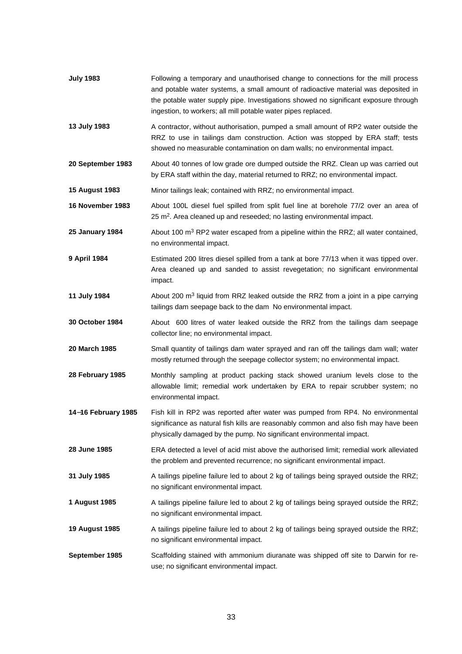| <b>July 1983</b>       | Following a temporary and unauthorised change to connections for the mill process<br>and potable water systems, a small amount of radioactive material was deposited in<br>the potable water supply pipe. Investigations showed no significant exposure through<br>ingestion, to workers; all mill potable water pipes replaced. |
|------------------------|----------------------------------------------------------------------------------------------------------------------------------------------------------------------------------------------------------------------------------------------------------------------------------------------------------------------------------|
| 13 July 1983           | A contractor, without authorisation, pumped a small amount of RP2 water outside the<br>RRZ to use in tailings dam construction. Action was stopped by ERA staff; tests<br>showed no measurable contamination on dam walls; no environmental impact.                                                                              |
| 20 September 1983      | About 40 tonnes of low grade ore dumped outside the RRZ. Clean up was carried out<br>by ERA staff within the day, material returned to RRZ; no environmental impact.                                                                                                                                                             |
| <b>15 August 1983</b>  | Minor tailings leak; contained with RRZ; no environmental impact.                                                                                                                                                                                                                                                                |
| 16 November 1983       | About 100L diesel fuel spilled from split fuel line at borehole 77/2 over an area of<br>25 m <sup>2</sup> . Area cleaned up and reseeded; no lasting environmental impact.                                                                                                                                                       |
| <b>25 January 1984</b> | About 100 m <sup>3</sup> RP2 water escaped from a pipeline within the RRZ; all water contained,<br>no environmental impact.                                                                                                                                                                                                      |
| 9 April 1984           | Estimated 200 litres diesel spilled from a tank at bore 77/13 when it was tipped over.<br>Area cleaned up and sanded to assist revegetation; no significant environmental<br>impact.                                                                                                                                             |
| 11 July 1984           | About 200 $\text{m}^3$ liquid from RRZ leaked outside the RRZ from a joint in a pipe carrying<br>tailings dam seepage back to the dam No environmental impact.                                                                                                                                                                   |
| <b>30 October 1984</b> | About 600 litres of water leaked outside the RRZ from the tailings dam seepage<br>collector line; no environmental impact.                                                                                                                                                                                                       |
| 20 March 1985          | Small quantity of tailings dam water sprayed and ran off the tailings dam wall; water<br>mostly returned through the seepage collector system; no environmental impact.                                                                                                                                                          |
| 28 February 1985       | Monthly sampling at product packing stack showed uranium levels close to the<br>allowable limit; remedial work undertaken by ERA to repair scrubber system; no<br>environmental impact.                                                                                                                                          |
| 14-16 February 1985    | Fish kill in RP2 was reported after water was pumped from RP4. No environmental<br>significance as natural fish kills are reasonably common and also fish may have been<br>physically damaged by the pump. No significant environmental impact.                                                                                  |
| 28 June 1985           | ERA detected a level of acid mist above the authorised limit; remedial work alleviated<br>the problem and prevented recurrence; no significant environmental impact.                                                                                                                                                             |
| 31 July 1985           | A tailings pipeline failure led to about 2 kg of tailings being sprayed outside the RRZ;<br>no significant environmental impact.                                                                                                                                                                                                 |
| 1 August 1985          | A tailings pipeline failure led to about 2 kg of tailings being sprayed outside the RRZ;<br>no significant environmental impact.                                                                                                                                                                                                 |
| 19 August 1985         | A tailings pipeline failure led to about 2 kg of tailings being sprayed outside the RRZ;<br>no significant environmental impact.                                                                                                                                                                                                 |
| September 1985         | Scaffolding stained with ammonium diuranate was shipped off site to Darwin for re-<br>use; no significant environmental impact.                                                                                                                                                                                                  |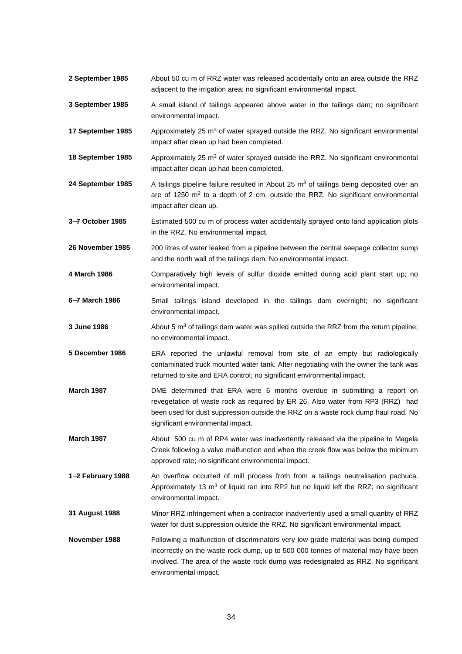- **2 September 1985** About 50 cu m of RRZ water was released accidentally onto an area outside the RRZ adjacent to the irrigation area; no significant environmental impact.
- **3 September 1985** A small island of tailings appeared above water in the tailings dam; no significant environmental impact.
- **17 September 1985** Approximately 25 m<sup>3</sup> of water sprayed outside the RRZ. No significant environmental impact after clean up had been completed.
- **18 September 1985** Approximately 25 m<sup>3</sup> of water sprayed outside the RRZ. No significant environmental impact after clean up had been completed.
- 24 September 1985 A tailings pipeline failure resulted in About 25 m<sup>3</sup> of tailings being deposited over an are of 1250  $m<sup>2</sup>$  to a depth of 2 cm, outside the RRZ. No significant environmental impact after clean up.
- **3**−**7 October 1985** Estimated 500 cu m of process water accidentally sprayed onto land application plots in the RRZ. No environmental impact.

**26 November 1985** 200 litres of water leaked from a pipeline between the central seepage collector sump and the north wall of the tailings dam. No environmental impact.

- **4 March 1986** Comparatively high levels of sulfur dioxide emitted during acid plant start up; no environmental impact.
- **6**−**7 March 1986** Small tailings island developed in the tailings dam overnight; no significant environmental impact.
- **3 June 1986** About 5 m<sup>3</sup> of tailings dam water was spilled outside the RRZ from the return pipeline; no environmental impact.
- **5 December 1986** ERA reported the unlawful removal from site of an empty but radiologically contaminated truck mounted water tank. After negotiating with the owner the tank was returned to site and ERA control; no significant environmental impact.
- **March 1987** DME determined that ERA were 6 months overdue in submitting a report on revegetation of waste rock as required by ER 26. Also water from RP3 (RRZ) had been used for dust suppression outside the RRZ on a waste rock dump haul road. No significant environmental impact.
- **March 1987** About 500 cu m of RP4 water was inadvertently released via the pipeline to Magela Creek following a valve malfunction and when the creek flow was below the minimum approved rate; no significant environmental impact.
- **1**−**2 February 1988** An overflow occurred of mill process froth from a tailings neutralisation pachuca. Approximately 13  $m<sup>3</sup>$  of liquid ran into RP2 but no liquid left the RRZ; no significant environmental impact.
- **31 August 1988** Minor RRZ infringement when a contractor inadvertently used a small quantity of RRZ water for dust suppression outside the RRZ. No significant environmental impact.
- **November 1988** Following a malfunction of discriminators very low grade material was being dumped incorrectly on the waste rock dump, up to 500 000 tonnes of material may have been involved. The area of the waste rock dump was redesignated as RRZ. No significant environmental impact.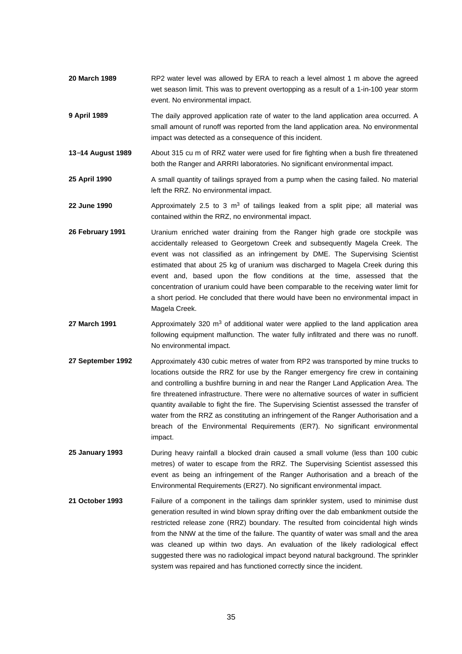- **20 March 1989** RP2 water level was allowed by ERA to reach a level almost 1 m above the agreed wet season limit. This was to prevent overtopping as a result of a 1-in-100 year storm event. No environmental impact.
- **9 April 1989** The daily approved application rate of water to the land application area occurred. A small amount of runoff was reported from the land application area. No environmental impact was detected as a consequence of this incident.
- **13**−**14 August 1989** About 315 cu m of RRZ water were used for fire fighting when a bush fire threatened both the Ranger and ARRRI laboratories. No significant environmental impact.
- **25 April 1990** A small quantity of tailings sprayed from a pump when the casing failed. No material left the RRZ. No environmental impact.
- **22 June 1990** Approximately 2.5 to 3 m<sup>3</sup> of tailings leaked from a split pipe; all material was contained within the RRZ, no environmental impact.
- **26 February 1991** Uranium enriched water draining from the Ranger high grade ore stockpile was accidentally released to Georgetown Creek and subsequently Magela Creek. The event was not classified as an infringement by DME. The Supervising Scientist estimated that about 25 kg of uranium was discharged to Magela Creek during this event and, based upon the flow conditions at the time, assessed that the concentration of uranium could have been comparable to the receiving water limit for a short period. He concluded that there would have been no environmental impact in Magela Creek.
- 27 March 1991 Approximately 320 m<sup>3</sup> of additional water were applied to the land application area following equipment malfunction. The water fully infiltrated and there was no runoff. No environmental impact.
- **27 September 1992** Approximately 430 cubic metres of water from RP2 was transported by mine trucks to locations outside the RRZ for use by the Ranger emergency fire crew in containing and controlling a bushfire burning in and near the Ranger Land Application Area. The fire threatened infrastructure. There were no alternative sources of water in sufficient quantity available to fight the fire. The Supervising Scientist assessed the transfer of water from the RRZ as constituting an infringement of the Ranger Authorisation and a breach of the Environmental Requirements (ER7). No significant environmental impact.
- **25 January 1993** During heavy rainfall a blocked drain caused a small volume (less than 100 cubic metres) of water to escape from the RRZ. The Supervising Scientist assessed this event as being an infringement of the Ranger Authorisation and a breach of the Environmental Requirements (ER27). No significant environmental impact.
- **21 October 1993** Failure of a component in the tailings dam sprinkler system, used to minimise dust generation resulted in wind blown spray drifting over the dab embankment outside the restricted release zone (RRZ) boundary. The resulted from coincidental high winds from the NNW at the time of the failure. The quantity of water was small and the area was cleaned up within two days. An evaluation of the likely radiological effect suggested there was no radiological impact beyond natural background. The sprinkler system was repaired and has functioned correctly since the incident.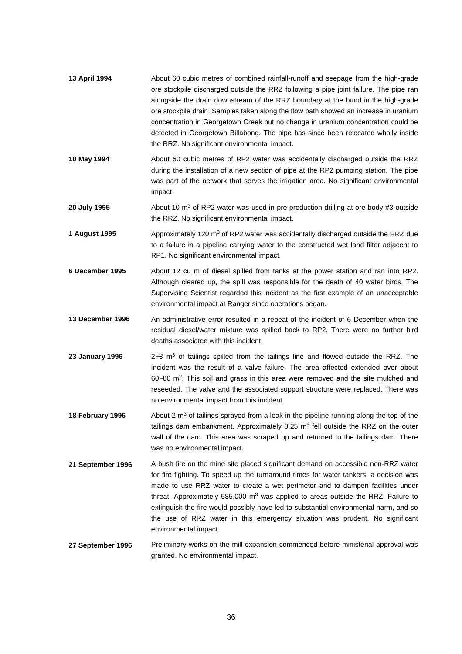| 13 April 1994          | About 60 cubic metres of combined rainfall-runoff and seepage from the high-grade<br>ore stockpile discharged outside the RRZ following a pipe joint failure. The pipe ran<br>alongside the drain downstream of the RRZ boundary at the bund in the high-grade<br>ore stockpile drain. Samples taken along the flow path showed an increase in uranium<br>concentration in Georgetown Creek but no change in uranium concentration could be<br>detected in Georgetown Billabong. The pipe has since been relocated wholly inside<br>the RRZ. No significant environmental impact. |
|------------------------|-----------------------------------------------------------------------------------------------------------------------------------------------------------------------------------------------------------------------------------------------------------------------------------------------------------------------------------------------------------------------------------------------------------------------------------------------------------------------------------------------------------------------------------------------------------------------------------|
| 10 May 1994            | About 50 cubic metres of RP2 water was accidentally discharged outside the RRZ<br>during the installation of a new section of pipe at the RP2 pumping station. The pipe<br>was part of the network that serves the irrigation area. No significant environmental<br>impact.                                                                                                                                                                                                                                                                                                       |
| 20 July 1995           | About 10 $\text{m}^3$ of RP2 water was used in pre-production drilling at ore body #3 outside<br>the RRZ. No significant environmental impact.                                                                                                                                                                                                                                                                                                                                                                                                                                    |
| 1 August 1995          | Approximately 120 m <sup>3</sup> of RP2 water was accidentally discharged outside the RRZ due<br>to a failure in a pipeline carrying water to the constructed wet land filter adjacent to<br>RP1. No significant environmental impact.                                                                                                                                                                                                                                                                                                                                            |
| 6 December 1995        | About 12 cu m of diesel spilled from tanks at the power station and ran into RP2.<br>Although cleared up, the spill was responsible for the death of 40 water birds. The<br>Supervising Scientist regarded this incident as the first example of an unacceptable<br>environmental impact at Ranger since operations began.                                                                                                                                                                                                                                                        |
| 13 December 1996       | An administrative error resulted in a repeat of the incident of 6 December when the<br>residual diesel/water mixture was spilled back to RP2. There were no further bird<br>deaths associated with this incident.                                                                                                                                                                                                                                                                                                                                                                 |
| <b>23 January 1996</b> | 2-3 m <sup>3</sup> of tailings spilled from the tailings line and flowed outside the RRZ. The<br>incident was the result of a valve failure. The area affected extended over about<br>60-80 m <sup>2</sup> . This soil and grass in this area were removed and the site mulched and<br>reseeded. The valve and the associated support structure were replaced. There was<br>no environmental impact from this incident.                                                                                                                                                           |
| 18 February 1996       | About 2 $m3$ of tailings sprayed from a leak in the pipeline running along the top of the<br>tailings dam embankment. Approximately 0.25 $m3$ fell outside the RRZ on the outer<br>wall of the dam. This area was scraped up and returned to the tailings dam. There<br>was no environmental impact.                                                                                                                                                                                                                                                                              |
| 21 September 1996      | A bush fire on the mine site placed significant demand on accessible non-RRZ water<br>for fire fighting. To speed up the turnaround times for water tankers, a decision was<br>mode to use BBZ water to erecte a wet perimeter and to dempen fooilities under                                                                                                                                                                                                                                                                                                                     |

- made to use RRZ water to create a wet perimeter and to dampen facilities under threat. Approximately 585,000  $m^3$  was applied to areas outside the RRZ. Failure to extinguish the fire would possibly have led to substantial environmental harm, and so the use of RRZ water in this emergency situation was prudent. No significant environmental impact.
- 27 September 1996 Preliminary works on the mill expansion commenced before ministerial approval was granted. No environmental impact.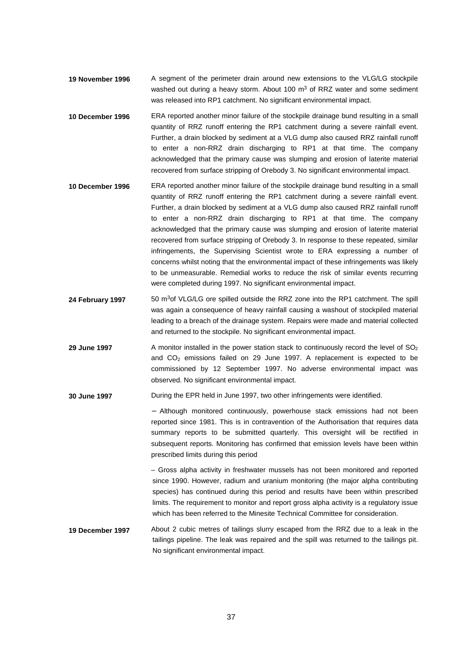- **19 November 1996** A segment of the perimeter drain around new extensions to the VLG/LG stockpile washed out during a heavy storm. About 100  $m<sup>3</sup>$  of RRZ water and some sediment was released into RP1 catchment. No significant environmental impact.
- **10 December 1996** ERA reported another minor failure of the stockpile drainage bund resulting in a small quantity of RRZ runoff entering the RP1 catchment during a severe rainfall event. Further, a drain blocked by sediment at a VLG dump also caused RRZ rainfall runoff to enter a non-RRZ drain discharging to RP1 at that time. The company acknowledged that the primary cause was slumping and erosion of laterite material recovered from surface stripping of Orebody 3. No significant environmental impact.
- **10 December 1996** ERA reported another minor failure of the stockpile drainage bund resulting in a small quantity of RRZ runoff entering the RP1 catchment during a severe rainfall event. Further, a drain blocked by sediment at a VLG dump also caused RRZ rainfall runoff to enter a non-RRZ drain discharging to RP1 at that time. The company acknowledged that the primary cause was slumping and erosion of laterite material recovered from surface stripping of Orebody 3. In response to these repeated, similar infringements, the Supervising Scientist wrote to ERA expressing a number of concerns whilst noting that the environmental impact of these infringements was likely to be unmeasurable. Remedial works to reduce the risk of similar events recurring were completed during 1997. No significant environmental impact.
- 24 February 1997 50 m<sup>3</sup>of VLG/LG ore spilled outside the RRZ zone into the RP1 catchment. The spill was again a consequence of heavy rainfall causing a washout of stockpiled material leading to a breach of the drainage system. Repairs were made and material collected and returned to the stockpile. No significant environmental impact.
- **29 June 1997** A monitor installed in the power station stack to continuously record the level of SO<sub>2</sub> and  $CO<sub>2</sub>$  emissions failed on 29 June 1997. A replacement is expected to be commissioned by 12 September 1997. No adverse environmental impact was observed. No significant environmental impact.
- **30 June 1997** During the EPR held in June 1997, two other infringements were identified.

− Although monitored continuously, powerhouse stack emissions had not been reported since 1981. This is in contravention of the Authorisation that requires data summary reports to be submitted quarterly. This oversight will be rectified in subsequent reports. Monitoring has confirmed that emission levels have been within prescribed limits during this period

– Gross alpha activity in freshwater mussels has not been monitored and reported since 1990. However, radium and uranium monitoring (the major alpha contributing species) has continued during this period and results have been within prescribed limits. The requirement to monitor and report gross alpha activity is a regulatory issue which has been referred to the Minesite Technical Committee for consideration.

**19 December 1997** About 2 cubic metres of tailings slurry escaped from the RRZ due to a leak in the tailings pipeline. The leak was repaired and the spill was returned to the tailings pit. No significant environmental impact.